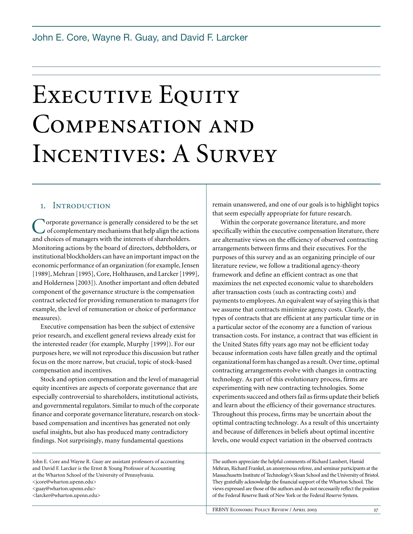# EXECUTIVE EQUITY Compensation and INCENTIVES: A SURVEY

#### 1. Introduction

orporate governance is generally considered to be the set  $\overline{J}$  of complementary mechanisms that help align the actions Corporate governance is generally considered to be the solution of complementary mechanisms that help align the action and choices of managers with the interests of shareholders. Monitoring actions by the board of directors, debtholders, or institutional blockholders can have an important impact on the economic performance of an organization (for example, Jensen [1989], Mehran [1995], Core, Holthausen, and Larcker [1999], and Holderness [2003]). Another important and often debated component of the governance structure is the compensation contract selected for providing remuneration to managers (for example, the level of remuneration or choice of performance measures).

Executive compensation has been the subject of extensive prior research, and excellent general reviews already exist for the interested reader (for example, Murphy [1999]). For our purposes here, we will not reproduce this discussion but rather focus on the more narrow, but crucial, topic of stock-based compensation and incentives.

Stock and option compensation and the level of managerial equity incentives are aspects of corporate governance that are especially controversial to shareholders, institutional activists, and governmental regulators. Similar to much of the corporate finance and corporate governance literature, research on stockbased compensation and incentives has generated not only useful insights, but also has produced many contradictory findings. Not surprisingly, many fundamental questions

John E. Core and Wayne R. Guay are assistant professors of accounting and David F. Larcker is the Ernst & Young Professor of Accounting at the Wharton School of the University of Pennsylvania. <jcore@wharton.upenn.edu> <guay@wharton.upenn.edu> <larcker@wharton.upenn.edu>

remain unanswered, and one of our goals is to highlight topics that seem especially appropriate for future research.

Within the corporate governance literature, and more specifically within the executive compensation literature, there are alternative views on the efficiency of observed contracting arrangements between firms and their executives. For the purposes of this survey and as an organizing principle of our literature review, we follow a traditional agency-theory framework and define an efficient contract as one that maximizes the net expected economic value to shareholders after transaction costs (such as contracting costs) and payments to employees. An equivalent way of saying this is that we assume that contracts minimize agency costs. Clearly, the types of contracts that are efficient at any particular time or in a particular sector of the economy are a function of various transaction costs. For instance, a contract that was efficient in the United States fifty years ago may not be efficient today because information costs have fallen greatly and the optimal organizational form has changed as a result. Over time, optimal contracting arrangements evolve with changes in contracting technology. As part of this evolutionary process, firms are experimenting with new contracting technologies. Some experiments succeed and others fail as firms update their beliefs and learn about the efficiency of their governance structures. Throughout this process, firms may be uncertain about the optimal contracting technology. As a result of this uncertainty and because of differences in beliefs about optimal incentive levels, one would expect variation in the observed contracts

The authors appreciate the helpful comments of Richard Lambert, Hamid Mehran, Richard Frankel, an anonymous referee, and seminar participants at the Massachusetts Institute of Technology's Sloan School and the University of Bristol. They gratefully acknowledge the financial support of the Wharton School. The views expressed are those of the authors and do not necessarily reflect the position of the Federal Reserve Bank of New York or the Federal Reserve System.

FRBNY Economic Policy Review / April 2003 27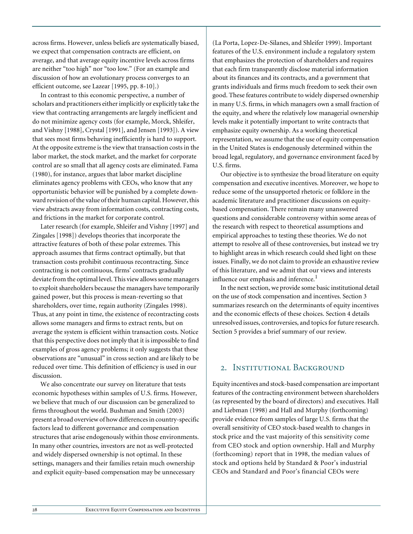across firms. However, unless beliefs are systematically biased, we expect that compensation contracts are efficient, on average, and that average equity incentive levels across firms are neither "too high" nor "too low." (For an example and discussion of how an evolutionary process converges to an efficient outcome, see Lazear [1995, pp. 8-10].)

In contrast to this economic perspective, a number of scholars and practitioners either implicitly or explicitly take the view that contracting arrangements are largely inefficient and do not minimize agency costs (for example, Morck, Shleifer, and Vishny [1988], Crystal [1991], and Jensen [1993]). A view that sees most firms behaving inefficiently is hard to support. At the opposite extreme is the view that transaction costs in the labor market, the stock market, and the market for corporate control are so small that all agency costs are eliminated. Fama (1980), for instance, argues that labor market discipline eliminates agency problems with CEOs, who know that any opportunistic behavior will be punished by a complete downward revision of the value of their human capital. However, this view abstracts away from information costs, contracting costs, and frictions in the market for corporate control.

Later research (for example, Shleifer and Vishny [1997] and Zingales [1998]) develops theories that incorporate the attractive features of both of these polar extremes. This approach assumes that firms contract optimally, but that transaction costs prohibit continuous recontracting. Since contracting is not continuous, firms' contracts gradually deviate from the optimal level. This view allows some managers to exploit shareholders because the managers have temporarily gained power, but this process is mean-reverting so that shareholders, over time, regain authority (Zingales 1998). Thus, at any point in time, the existence of recontracting costs allows some managers and firms to extract rents, but on average the system is efficient within transaction costs. Notice that this perspective does not imply that it is impossible to find examples of gross agency problems; it only suggests that these observations are "unusual" in cross section and are likely to be reduced over time. This definition of efficiency is used in our discussion.

We also concentrate our survey on literature that tests economic hypotheses within samples of U.S. firms. However, we believe that much of our discussion can be generalized to firms throughout the world. Bushman and Smith (2003) present a broad overview of how differences in country-specific factors lead to different governance and compensation structures that arise endogenously within those environments. In many other countries, investors are not as well-protected and widely dispersed ownership is not optimal. In these settings, managers and their families retain much ownership and explicit equity-based compensation may be unnecessary

(La Porta, Lopez-De-Silanes, and Shleifer 1999). Important features of the U.S. environment include a regulatory system that emphasizes the protection of shareholders and requires that each firm transparently disclose material information about its finances and its contracts, and a government that grants individuals and firms much freedom to seek their own good. These features contribute to widely dispersed ownership in many U.S. firms, in which managers own a small fraction of the equity, and where the relatively low managerial ownership levels make it potentially important to write contracts that emphasize equity ownership. As a working theoretical representation, we assume that the use of equity compensation in the United States is endogenously determined within the broad legal, regulatory, and governance environment faced by U.S. firms.

Our objective is to synthesize the broad literature on equity compensation and executive incentives. Moreover, we hope to reduce some of the unsupported rhetoric or folklore in the academic literature and practitioner discussions on equitybased compensation. There remain many unanswered questions and considerable controversy within some areas of the research with respect to theoretical assumptions and empirical approaches to testing these theories. We do not attempt to resolve all of these controversies, but instead we try to highlight areas in which research could shed light on these issues. Finally, we do not claim to provide an exhaustive review of this literature, and we admit that our views and interests influence our emphasis and inference.<sup>1</sup>

In the next section, we provide some basic institutional detail on the use of stock compensation and incentives. Section 3 summarizes research on the determinants of equity incentives and the economic effects of these choices. Section 4 details unresolved issues, controversies, and topics for future research. Section 5 provides a brief summary of our review.

#### 2. Institutional Background

Equity incentives and stock-based compensation are important features of the contracting environment between shareholders (as represented by the board of directors) and executives. Hall and Liebman (1998) and Hall and Murphy (forthcoming) provide evidence from samples of large U.S. firms that the overall sensitivity of CEO stock-based wealth to changes in stock price and the vast majority of this sensitivity come from CEO stock and option ownership. Hall and Murphy (forthcoming) report that in 1998, the median values of stock and options held by Standard & Poor's industrial CEOs and Standard and Poor's financial CEOs were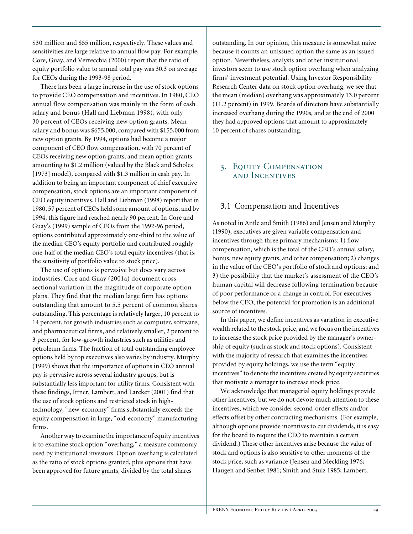\$30 million and \$55 million, respectively. These values and sensitivities are large relative to annual flow pay. For example, Core, Guay, and Verrecchia (2000) report that the ratio of equity portfolio value to annual total pay was 30.3 on average for CEOs during the 1993-98 period.

There has been a large increase in the use of stock options to provide CEO compensation and incentives. In 1980, CEO annual flow compensation was mainly in the form of cash salary and bonus (Hall and Liebman 1998), with only 30 percent of CEOs receiving new option grants. Mean salary and bonus was \$655,000, compared with \$155,000 from new option grants. By 1994, options had become a major component of CEO flow compensation, with 70 percent of CEOs receiving new option grants, and mean option grants amounting to \$1.2 million (valued by the Black and Scholes [1973] model), compared with \$1.3 million in cash pay. In addition to being an important component of chief executive compensation, stock options are an important component of CEO equity incentives. Hall and Liebman (1998) report that in 1980, 57 percent of CEOs held some amount of options, and by 1994, this figure had reached nearly 90 percent. In Core and Guay's (1999) sample of CEOs from the 1992-96 period, options contributed approximately one-third to the value of the median CEO's equity portfolio and contributed roughly one-half of the median CEO's total equity incentives (that is, the sensitivity of portfolio value to stock price).

The use of options is pervasive but does vary across industries. Core and Guay (2001a) document crosssectional variation in the magnitude of corporate option plans. They find that the median large firm has options outstanding that amount to 5.5 percent of common shares outstanding. This percentage is relatively larger, 10 percent to 14 percent, for growth industries such as computer, software, and pharmaceutical firms, and relatively smaller, 2 percent to 3 percent, for low-growth industries such as utilities and petroleum firms. The fraction of total outstanding employee options held by top executives also varies by industry. Murphy (1999) shows that the importance of options in CEO annual pay is pervasive across several industry groups, but is substantially less important for utility firms. Consistent with these findings, Ittner, Lambert, and Larcker (2001) find that the use of stock options and restricted stock in hightechnology, "new-economy" firms substantially exceeds the equity compensation in large, "old-economy" manufacturing firms.

Another way to examine the importance of equity incentives is to examine stock option "overhang," a measure commonly used by institutional investors. Option overhang is calculated as the ratio of stock options granted, plus options that have been approved for future grants, divided by the total shares

outstanding. In our opinion, this measure is somewhat naive because it counts an unissued option the same as an issued option. Nevertheless, analysts and other institutional investors seem to use stock option overhang when analyzing firms' investment potential. Using Investor Responsibility Research Center data on stock option overhang, we see that the mean (median) overhang was approximately 13.0 percent (11.2 percent) in 1999. Boards of directors have substantially increased overhang during the 1990s, and at the end of 2000 they had approved options that amount to approximately 10 percent of shares outstanding.

#### 3. Equity Compensation and Incentives

### 3.1 Compensation and Incentives

As noted in Antle and Smith (1986) and Jensen and Murphy (1990), executives are given variable compensation and incentives through three primary mechanisms: 1) flow compensation, which is the total of the CEO's annual salary, bonus, new equity grants, and other compensation; 2) changes in the value of the CEO's portfolio of stock and options; and 3) the possibility that the market's assessment of the CEO's human capital will decrease following termination because of poor performance or a change in control. For executives below the CEO, the potential for promotion is an additional source of incentives.

In this paper, we define incentives as variation in executive wealth related to the stock price, and we focus on the incentives to increase the stock price provided by the manager's ownership of equity (such as stock and stock options). Consistent with the majority of research that examines the incentives provided by equity holdings, we use the term "equity incentives" to denote the incentives created by equity securities that motivate a manager to increase stock price.

We acknowledge that managerial equity holdings provide other incentives, but we do not devote much attention to these incentives, which we consider second-order effects and/or effects offset by other contracting mechanisms. (For example, although options provide incentives to cut dividends, it is easy for the board to require the CEO to maintain a certain dividend.) These other incentives arise because the value of stock and options is also sensitive to other moments of the stock price, such as variance (Jensen and Meckling 1976; Haugen and Senbet 1981; Smith and Stulz 1985; Lambert,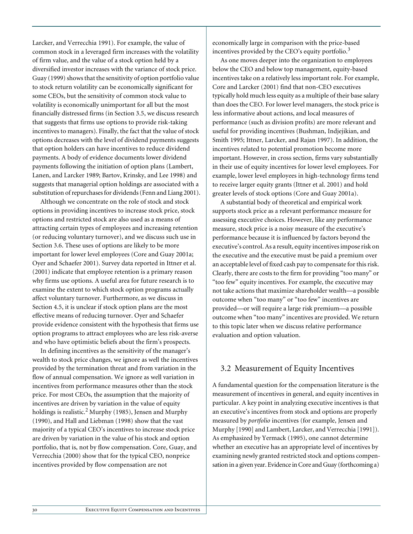Larcker, and Verrecchia 1991). For example, the value of common stock in a leveraged firm increases with the volatility of firm value, and the value of a stock option held by a diversified investor increases with the variance of stock price. Guay (1999) shows that the sensitivity of option portfolio value to stock return volatility can be economically significant for some CEOs, but the sensitivity of common stock value to volatility is economically unimportant for all but the most financially distressed firms (in Section 3.5, we discuss research that suggests that firms use options to provide risk-taking incentives to managers). Finally, the fact that the value of stock options decreases with the level of dividend payments suggests that option holders can have incentives to reduce dividend payments. A body of evidence documents lower dividend payments following the initiation of option plans (Lambert, Lanen, and Larcker 1989; Bartov, Krinsky, and Lee 1998) and suggests that managerial option holdings are associated with a substitution of repurchases for dividends (Fenn and Liang 2001).

Although we concentrate on the role of stock and stock options in providing incentives to increase stock price, stock options and restricted stock are also used as a means of attracting certain types of employees and increasing retention (or reducing voluntary turnover), and we discuss such use in Section 3.6. These uses of options are likely to be more important for lower level employees (Core and Guay 2001a; Oyer and Schaefer 2001). Survey data reported in Ittner et al. (2001) indicate that employee retention is a primary reason why firms use options. A useful area for future research is to examine the extent to which stock option programs actually affect voluntary turnover. Furthermore, as we discuss in Section 4.5, it is unclear if stock option plans are the most effective means of reducing turnover. Oyer and Schaefer provide evidence consistent with the hypothesis that firms use option programs to attract employees who are less risk-averse and who have optimistic beliefs about the firm's prospects.

In defining incentives as the sensitivity of the manager's wealth to stock price changes, we ignore as well the incentives provided by the termination threat and from variation in the flow of annual compensation. We ignore as well variation in incentives from performance measures other than the stock price. For most CEOs, the assumption that the majority of incentives are driven by variation in the value of equity holdings is realistic. $^2$  Murphy (1985), Jensen and Murphy (1990), and Hall and Liebman (1998) show that the vast majority of a typical CEO's incentives to increase stock price are driven by variation in the value of his stock and option portfolio, that is, not by flow compensation. Core, Guay, and Verrecchia (2000) show that for the typical CEO, nonprice incentives provided by flow compensation are not

economically large in comparison with the price-based incentives provided by the CEO's equity portfolio.<sup>3</sup>

As one moves deeper into the organization to employees below the CEO and below top management, equity-based incentives take on a relatively less important role. For example, Core and Larcker (2001) find that non-CEO executives typically hold much less equity as a multiple of their base salary than does the CEO. For lower level managers, the stock price is less informative about actions, and local measures of performance (such as division profits) are more relevant and useful for providing incentives (Bushman, Indjejikian, and Smith 1995; Ittner, Larcker, and Rajan 1997). In addition, the incentives related to potential promotion become more important. However, in cross section, firms vary substantially in their use of equity incentives for lower level employees. For example, lower level employees in high-technology firms tend to receive larger equity grants (Ittner et al. 2001) and hold greater levels of stock options (Core and Guay 2001a).

A substantial body of theoretical and empirical work supports stock price as a relevant performance measure for assessing executive choices. However, like any performance measure, stock price is a noisy measure of the executive's performance because it is influenced by factors beyond the executive's control. As a result, equity incentives impose risk on the executive and the executive must be paid a premium over an acceptable level of fixed cash pay to compensate for this risk. Clearly, there are costs to the firm for providing "too many" or "too few" equity incentives. For example, the executive may not take actions that maximize shareholder wealth—a possible outcome when "too many" or "too few" incentives are provided—or will require a large risk premium—a possible outcome when "too many" incentives are provided. We return to this topic later when we discuss relative performance evaluation and option valuation.

## 3.2 Measurement of Equity Incentives

A fundamental question for the compensation literature is the measurement of incentives in general, and equity incentives in particular. A key point in analyzing executive incentives is that an executive's incentives from stock and options are properly measured by *portfolio* incentives (for example, Jensen and Murphy [1990] and Lambert, Larcker, and Verrecchia [1991]). As emphasized by Yermack (1995), one cannot determine whether an executive has an appropriate level of incentives by examining newly granted restricted stock and options compensation in a given year. Evidence in Core and Guay (forthcoming a)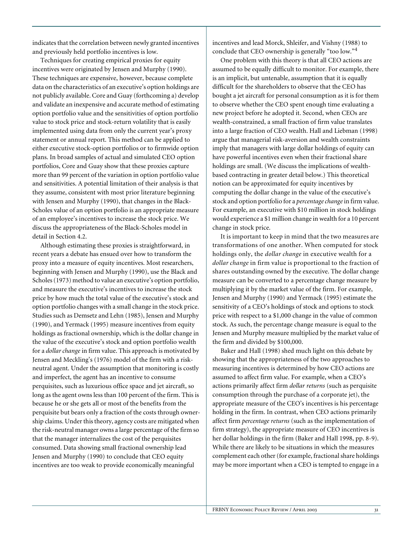indicates that the correlation between newly granted incentives and previously held portfolio incentives is low.

Techniques for creating empirical proxies for equity incentives were originated by Jensen and Murphy (1990). These techniques are expensive, however, because complete data on the characteristics of an executive's option holdings are not publicly available. Core and Guay (forthcoming a) develop and validate an inexpensive and accurate method of estimating option portfolio value and the sensitivities of option portfolio value to stock price and stock-return volatility that is easily implemented using data from only the current year's proxy statement or annual report. This method can be applied to either executive stock-option portfolios or to firmwide option plans. In broad samples of actual and simulated CEO option portfolios, Core and Guay show that these proxies capture more than 99 percent of the variation in option portfolio value and sensitivities. A potential limitation of their analysis is that they assume, consistent with most prior literature beginning with Jensen and Murphy (1990), that changes in the Black-Scholes value of an option portfolio is an appropriate measure of an employee's incentives to increase the stock price. We discuss the appropriateness of the Black-Scholes model in detail in Section 4.2.

Although estimating these proxies is straightforward, in recent years a debate has ensued over how to transform the proxy into a measure of equity incentives. Most researchers, beginning with Jensen and Murphy (1990), use the Black and Scholes (1973) method to value an executive's option portfolio, and measure the executive's incentives to increase the stock price by how much the total value of the executive's stock and option portfolio changes with a small change in the stock price. Studies such as Demsetz and Lehn (1985), Jensen and Murphy (1990), and Yermack (1995) measure incentives from equity holdings as fractional ownership, which is the dollar change in the value of the executive's stock and option portfolio wealth for a *dollar change* in firm value. This approach is motivated by Jensen and Meckling's (1976) model of the firm with a riskneutral agent. Under the assumption that monitoring is costly and imperfect, the agent has an incentive to consume perquisites, such as luxurious office space and jet aircraft, so long as the agent owns less than 100 percent of the firm. This is because he or she gets all or most of the benefits from the perquisite but bears only a fraction of the costs through ownership claims. Under this theory, agency costs are mitigated when the risk-neutral manager owns a large percentage of the firm so that the manager internalizes the cost of the perquisites consumed. Data showing small fractional ownership lead Jensen and Murphy (1990) to conclude that CEO equity incentives are too weak to provide economically meaningful

incentives and lead Morck, Shleifer, and Vishny (1988) to conclude that CEO ownership is generally "too low."<sup>4</sup>

One problem with this theory is that all CEO actions are assumed to be equally difficult to monitor. For example, there is an implicit, but untenable, assumption that it is equally difficult for the shareholders to observe that the CEO has bought a jet aircraft for personal consumption as it is for them to observe whether the CEO spent enough time evaluating a new project before he adopted it. Second, when CEOs are wealth-constrained, a small fraction of firm value translates into a large fraction of CEO wealth. Hall and Liebman (1998) argue that managerial risk-aversion and wealth constraints imply that managers with large dollar holdings of equity can have powerful incentives even when their fractional share holdings are small. (We discuss the implications of wealthbased contracting in greater detail below.) This theoretical notion can be approximated for equity incentives by computing the dollar change in the value of the executive's stock and option portfolio for a *percentage change* in firm value. For example, an executive with \$10 million in stock holdings would experience a \$1 million change in wealth for a 10 percent change in stock price.

It is important to keep in mind that the two measures are transformations of one another. When computed for stock holdings only, the *dollar change* in executive wealth for a *dollar change* in firm value is proportional to the fraction of shares outstanding owned by the executive. The dollar change measure can be converted to a percentage change measure by multiplying it by the market value of the firm. For example, Jensen and Murphy (1990) and Yermack (1995) estimate the sensitivity of a CEO's holdings of stock and options to stock price with respect to a \$1,000 change in the value of common stock. As such, the percentage change measure is equal to the Jensen and Murphy measure multiplied by the market value of the firm and divided by \$100,000.

Baker and Hall (1998) shed much light on this debate by showing that the appropriateness of the two approaches to measuring incentives is determined by how CEO actions are assumed to affect firm value. For example, when a CEO's actions primarily affect firm *dollar returns* (such as perquisite consumption through the purchase of a corporate jet), the appropriate measure of the CEO's incentives is his percentage holding in the firm. In contrast, when CEO actions primarily affect firm *percentage returns* (such as the implementation of firm strategy), the appropriate measure of CEO incentives is her dollar holdings in the firm (Baker and Hall 1998, pp. 8-9). While there are likely to be situations in which the measures complement each other (for example, fractional share holdings may be more important when a CEO is tempted to engage in a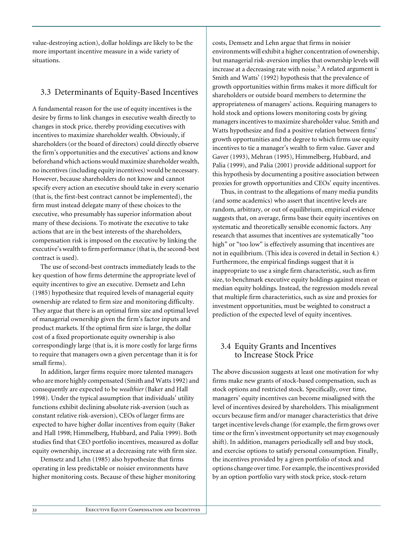value-destroying action), dollar holdings are likely to be the more important incentive measure in a wide variety of situations.

# 3.3 Determinants of Equity-Based Incentives

A fundamental reason for the use of equity incentives is the desire by firms to link changes in executive wealth directly to changes in stock price, thereby providing executives with incentives to maximize shareholder wealth. Obviously, if shareholders (or the board of directors) could directly observe the firm's opportunities and the executives' actions and know beforehand which actions would maximize shareholder wealth, no incentives (including equity incentives) would be necessary. However, because shareholders do not know and cannot specify every action an executive should take in every scenario (that is, the first-best contract cannot be implemented), the firm must instead delegate many of these choices to the executive, who presumably has superior information about many of these decisions. To motivate the executive to take actions that are in the best interests of the shareholders, compensation risk is imposed on the executive by linking the executive's wealth to firm performance (that is, the second-best contract is used).

The use of second-best contracts immediately leads to the key question of how firms determine the appropriate level of equity incentives to give an executive. Demsetz and Lehn (1985) hypothesize that required levels of managerial equity ownership are related to firm size and monitoring difficulty. They argue that there is an optimal firm size and optimal level of managerial ownership given the firm's factor inputs and product markets. If the optimal firm size is large, the dollar cost of a fixed proportionate equity ownership is also correspondingly large (that is, it is more costly for large firms to require that managers own a given percentage than it is for small firms).

In addition, larger firms require more talented managers who are more highly compensated (Smith and Watts 1992) and consequently are expected to be *wealthier* (Baker and Hall 1998). Under the typical assumption that individuals' utility functions exhibit declining absolute risk-aversion (such as constant relative risk-aversion), CEOs of larger firms are expected to have higher dollar incentives from equity (Baker and Hall 1998; Himmelberg, Hubbard, and Palia 1999). Both studies find that CEO portfolio incentives, measured as dollar equity ownership, increase at a decreasing rate with firm size.

Demsetz and Lehn (1985) also hypothesize that firms operating in less predictable or noisier environments have higher monitoring costs. Because of these higher monitoring costs, Demsetz and Lehn argue that firms in noisier environments will exhibit a higher concentration of ownership, but managerial risk-aversion implies that ownership levels will increase at a decreasing rate with noise.<sup>5</sup> A related argument is Smith and Watts' (1992) hypothesis that the prevalence of growth opportunities within firms makes it more difficult for shareholders or outside board members to determine the appropriateness of managers' actions. Requiring managers to hold stock and options lowers monitoring costs by giving managers incentives to maximize shareholder value. Smith and Watts hypothesize and find a positive relation between firms' growth opportunities and the degree to which firms use equity incentives to tie a manager's wealth to firm value. Gaver and Gaver (1993), Mehran (1995), Himmelberg, Hubbard, and Palia (1999), and Palia (2001) provide additional support for this hypothesis by documenting a positive association between proxies for growth opportunities and CEOs' equity incentives.

Thus, in contrast to the allegations of many media pundits (and some academics) who assert that incentive levels are random, arbitrary, or out of equilibrium, empirical evidence suggests that, on average, firms base their equity incentives on systematic and theoretically sensible economic factors. Any research that assumes that incentives are systematically "too high" or "too low" is effectively assuming that incentives are not in equilibrium. (This idea is covered in detail in Section 4.) Furthermore, the empirical findings suggest that it is inappropriate to use a single firm characteristic, such as firm size, to benchmark executive equity holdings against mean or median equity holdings. Instead, the regression models reveal that multiple firm characteristics, such as size and proxies for investment opportunities, must be weighted to construct a prediction of the expected level of equity incentives.

## 3.4 Equity Grants and Incentives to Increase Stock Price

The above discussion suggests at least one motivation for why firms make new grants of stock-based compensation, such as stock options and restricted stock. Specifically, over time, managers' equity incentives can become misaligned with the level of incentives desired by shareholders. This misalignment occurs because firm and/or manager characteristics that drive target incentive levels change (for example, the firm grows over time or the firm's investment opportunity set may exogenously shift). In addition, managers periodically sell and buy stock, and exercise options to satisfy personal consumption. Finally, the incentives provided by a given portfolio of stock and options change over time. For example, the incentives provided by an option portfolio vary with stock price, stock-return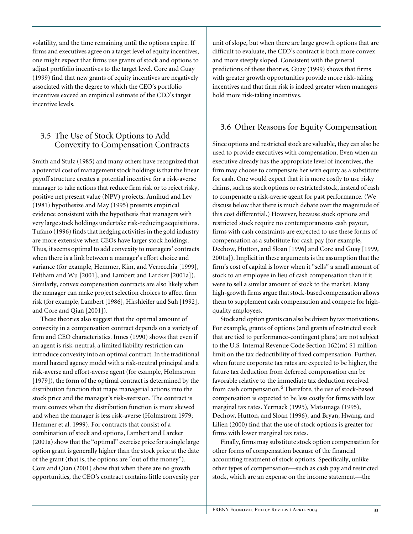volatility, and the time remaining until the options expire. If firms and executives agree on a target level of equity incentives, one might expect that firms use grants of stock and options to adjust portfolio incentives to the target level. Core and Guay (1999) find that new grants of equity incentives are negatively associated with the degree to which the CEO's portfolio incentives exceed an empirical estimate of the CEO's target incentive levels.

## 3.5 The Use of Stock Options to Add Convexity to Compensation Contracts

Smith and Stulz (1985) and many others have recognized that a potential cost of management stock holdings is that the linear payoff structure creates a potential incentive for a risk-averse manager to take actions that reduce firm risk or to reject risky, positive net present value (NPV) projects. Amihud and Lev (1981) hypothesize and May (1995) presents empirical evidence consistent with the hypothesis that managers with very large stock holdings undertake risk-reducing acquisitions. Tufano (1996) finds that hedging activities in the gold industry are more extensive when CEOs have larger stock holdings. Thus, it seems optimal to add convexity to managers' contracts when there is a link between a manager's effort choice and variance (for example, Hemmer, Kim, and Verrecchia [1999], Feltham and Wu [2001], and Lambert and Larcker [2001a]). Similarly, convex compensation contracts are also likely when the manager can make project selection choices to affect firm risk (for example, Lambert [1986], Hirshleifer and Suh [1992], and Core and Qian [2001]).

These theories also suggest that the optimal amount of convexity in a compensation contract depends on a variety of firm and CEO characteristics. Innes (1990) shows that even if an agent is risk-neutral, a limited liability restriction can introduce convexity into an optimal contract. In the traditional moral hazard agency model with a risk-neutral principal and a risk-averse and effort-averse agent (for example, Holmstrom [1979]), the form of the optimal contract is determined by the distribution function that maps managerial actions into the stock price and the manager's risk-aversion. The contract is more convex when the distribution function is more skewed and when the manager is less risk-averse (Holmstrom 1979; Hemmer et al. 1999). For contracts that consist of a combination of stock and options, Lambert and Larcker (2001a) show that the "optimal" exercise price for a single large option grant is generally higher than the stock price at the date of the grant (that is, the options are "out of the money"). Core and Qian (2001) show that when there are no growth opportunities, the CEO's contract contains little convexity per unit of slope, but when there are large growth options that are difficult to evaluate, the CEO's contract is both more convex and more steeply sloped. Consistent with the general predictions of these theories, Guay (1999) shows that firms with greater growth opportunities provide more risk-taking incentives and that firm risk is indeed greater when managers hold more risk-taking incentives.

# 3.6 Other Reasons for Equity Compensation

Since options and restricted stock are valuable, they can also be used to provide executives with compensation. Even when an executive already has the appropriate level of incentives, the firm may choose to compensate her with equity as a substitute for cash. One would expect that it is more costly to use risky claims, such as stock options or restricted stock, instead of cash to compensate a risk-averse agent for past performance. (We discuss below that there is much debate over the magnitude of this cost differential.) However, because stock options and restricted stock require no contemporaneous cash payout, firms with cash constraints are expected to use these forms of compensation as a substitute for cash pay (for example, Dechow, Hutton, and Sloan [1996] and Core and Guay [1999, 2001a]). Implicit in these arguments is the assumption that the firm's cost of capital is lower when it "sells" a small amount of stock to an employee in lieu of cash compensation than if it were to sell a similar amount of stock to the market. Many high-growth firms argue that stock-based compensation allows them to supplement cash compensation and compete for highquality employees.

Stock and option grants can also be driven by tax motivations. For example, grants of options (and grants of restricted stock that are tied to performance-contingent plans) are not subject to the U.S. Internal Revenue Code Section 162(m) \$1 million limit on the tax deductibility of fixed compensation. Further, when future corporate tax rates are expected to be higher, the future tax deduction from deferred compensation can be favorable relative to the immediate tax deduction received from cash compensation.<sup>6</sup> Therefore, the use of stock-based compensation is expected to be less costly for firms with low marginal tax rates. Yermack (1995), Matsunaga (1995), Dechow, Hutton, and Sloan (1996), and Bryan, Hwang, and Lilien (2000) find that the use of stock options is greater for firms with lower marginal tax rates.

Finally, firms may substitute stock option compensation for other forms of compensation because of the financial accounting treatment of stock options. Specifically, unlike other types of compensation—such as cash pay and restricted stock, which are an expense on the income statement—the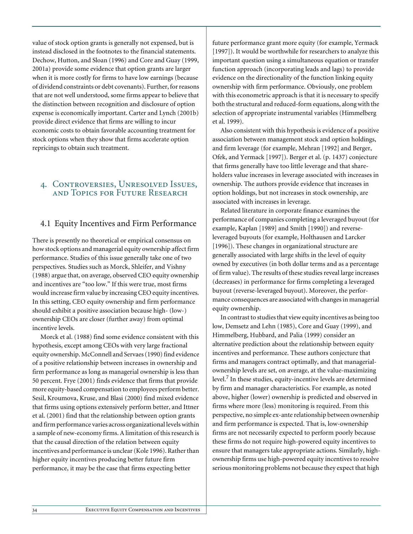value of stock option grants is generally not expensed, but is instead disclosed in the footnotes to the financial statements. Dechow, Hutton, and Sloan (1996) and Core and Guay (1999, 2001a) provide some evidence that option grants are larger when it is more costly for firms to have low earnings (because of dividend constraints or debt covenants). Further, for reasons that are not well understood, some firms appear to believe that the distinction between recognition and disclosure of option expense is economically important. Carter and Lynch (2001b) provide direct evidence that firms are willing to incur economic costs to obtain favorable accounting treatment for stock options when they show that firms accelerate option repricings to obtain such treatment.

## 4. Controversies, Unresolved Issues, and Topics for Future Research

## 4.1 Equity Incentives and Firm Performance

There is presently no theoretical or empirical consensus on how stock options and managerial equity ownership affect firm performance. Studies of this issue generally take one of two perspectives. Studies such as Morck, Shleifer, and Vishny (1988) argue that, on average, observed CEO equity ownership and incentives are "too low." If this were true, most firms would increase firm value by increasing CEO equity incentives. In this setting, CEO equity ownership and firm performance should exhibit a positive association because high- (low-) ownership CEOs are closer (further away) from optimal incentive levels.

Morck et al. (1988) find some evidence consistent with this hypothesis, except among CEOs with very large fractional equity ownership. McConnell and Servaes (1990) find evidence of a positive relationship between increases in ownership and firm performance as long as managerial ownership is less than 50 percent. Frye (2001) finds evidence that firms that provide more equity-based compensation to employees perform better. Sesil, Kroumova, Kruse, and Blasi (2000) find mixed evidence that firms using options extensively perform better, and Ittner et al. (2001) find that the relationship between option grants and firm performance varies across organizational levels within a sample of new-economy firms. A limitation of this research is that the causal direction of the relation between equity incentives and performance is unclear (Kole 1996). Rather than higher equity incentives producing better future firm performance, it may be the case that firms expecting better

future performance grant more equity (for example, Yermack [1997]). It would be worthwhile for researchers to analyze this important question using a simultaneous equation or transfer function approach (incorporating leads and lags) to provide evidence on the directionality of the function linking equity ownership with firm performance. Obviously, one problem with this econometric approach is that it is necessary to specify both the structural and reduced-form equations, along with the selection of appropriate instrumental variables (Himmelberg et al. 1999).

Also consistent with this hypothesis is evidence of a positive association between management stock and option holdings, and firm leverage (for example, Mehran [1992] and Berger, Ofek, and Yermack [1997]). Berger et al. (p. 1437) conjecture that firms generally have too little leverage and that shareholders value increases in leverage associated with increases in ownership. The authors provide evidence that increases in option holdings, but not increases in stock ownership, are associated with increases in leverage.

Related literature in corporate finance examines the performance of companies completing a leveraged buyout (for example, Kaplan [1989] and Smith [1990]) and reverseleveraged buyouts (for example, Holthausen and Larcker [1996]). These changes in organizational structure are generally associated with large shifts in the level of equity owned by executives (in both dollar terms and as a percentage of firm value). The results of these studies reveal large increases (decreases) in performance for firms completing a leveraged buyout (reverse-leveraged buyout). Moreover, the performance consequences are associated with changes in managerial equity ownership.

In contrast to studies that view equity incentives as being too low, Demsetz and Lehn (1985), Core and Guay (1999), and Himmelberg, Hubbard, and Palia (1999) consider an alternative prediction about the relationship between equity incentives and performance. These authors conjecture that firms and managers contract optimally, and that managerialownership levels are set, on average, at the value-maximizing level.<sup>7</sup> In these studies, equity-incentive levels are determined by firm and manager characteristics. For example, as noted above, higher (lower) ownership is predicted and observed in firms where more (less) monitoring is required. From this perspective, no simple ex-ante relationship between ownership and firm performance is expected. That is, low-ownership firms are not necessarily expected to perform poorly because these firms do not require high-powered equity incentives to ensure that managers take appropriate actions. Similarly, highownership firms use high-powered equity incentives to resolve serious monitoring problems not because they expect that high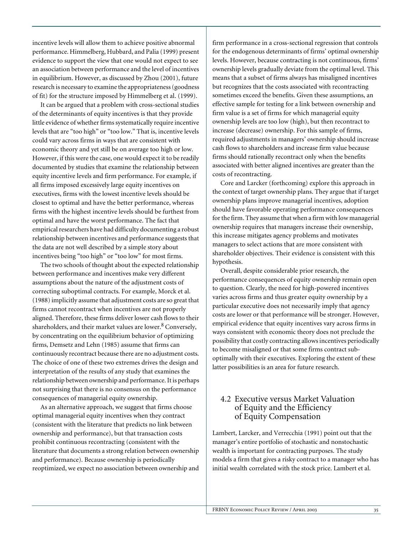incentive levels will allow them to achieve positive abnormal performance. Himmelberg, Hubbard, and Palia (1999) present evidence to support the view that one would not expect to see an association between performance and the level of incentives in equilibrium. However, as discussed by Zhou (2001), future research is necessary to examine the appropriateness (goodness of fit) for the structure imposed by Himmelberg et al. (1999).

It can be argued that a problem with cross-sectional studies of the determinants of equity incentives is that they provide little evidence of whether firms systematically require incentive levels that are "too high" or "too low." That is, incentive levels could vary across firms in ways that are consistent with economic theory and yet still be on average too high or low. However, if this were the case, one would expect it to be readily documented by studies that examine the relationship between equity incentive levels and firm performance. For example, if all firms imposed excessively large equity incentives on executives, firms with the lowest incentive levels should be closest to optimal and have the better performance, whereas firms with the highest incentive levels should be furthest from optimal and have the worst performance. The fact that empirical researchers have had difficulty documenting a robust relationship between incentives and performance suggests that the data are not well described by a simple story about incentives being "too high" or "too low" for most firms.

The two schools of thought about the expected relationship between performance and incentives make very different assumptions about the nature of the adjustment costs of correcting suboptimal contracts. For example, Morck et al. (1988) implicitly assume that adjustment costs are so great that firms cannot recontract when incentives are not properly aligned. Therefore, these firms deliver lower cash flows to their shareholders, and their market values are lower. $^8$  Conversely, by concentrating on the equilibrium behavior of optimizing firms, Demsetz and Lehn (1985) assume that firms can continuously recontract because there are no adjustment costs. The choice of one of these two extremes drives the design and interpretation of the results of any study that examines the relationship between ownership and performance. It is perhaps not surprising that there is no consensus on the performance consequences of managerial equity ownership.

As an alternative approach, we suggest that firms choose optimal managerial equity incentives when they contract (consistent with the literature that predicts no link between ownership and performance), but that transaction costs prohibit continuous recontracting (consistent with the literature that documents a strong relation between ownership and performance). Because ownership is periodically reoptimized, we expect no association between ownership and firm performance in a cross-sectional regression that controls for the endogenous determinants of firms' optimal ownership levels. However, because contracting is not continuous, firms' ownership levels gradually deviate from the optimal level. This means that a subset of firms always has misaligned incentives but recognizes that the costs associated with recontracting sometimes exceed the benefits. Given these assumptions, an effective sample for testing for a link between ownership and firm value is a set of firms for which managerial equity ownership levels are too low (high), but then recontract to increase (decrease) ownership. For this sample of firms, required adjustments in managers' ownership should increase cash flows to shareholders and increase firm value because firms should rationally recontract only when the benefits associated with better aligned incentives are greater than the costs of recontracting.

Core and Larcker (forthcoming) explore this approach in the context of target ownership plans. They argue that if target ownership plans improve managerial incentives, adoption should have favorable operating performance consequences for the firm. They assume that when a firm with low managerial ownership requires that managers increase their ownership, this increase mitigates agency problems and motivates managers to select actions that are more consistent with shareholder objectives. Their evidence is consistent with this hypothesis.

Overall, despite considerable prior research, the performance consequences of equity ownership remain open to question. Clearly, the need for high-powered incentives varies across firms and thus greater equity ownership by a particular executive does not necessarily imply that agency costs are lower or that performance will be stronger. However, empirical evidence that equity incentives vary across firms in ways consistent with economic theory does not preclude the possibility that costly contracting allows incentives periodically to become misaligned or that some firms contract suboptimally with their executives. Exploring the extent of these latter possibilities is an area for future research.

#### 4.2 Executive versus Market Valuation of Equity and the Efficiency of Equity Compensation

Lambert, Larcker, and Verrecchia (1991) point out that the manager's entire portfolio of stochastic and nonstochastic wealth is important for contracting purposes. The study models a firm that gives a risky contract to a manager who has initial wealth correlated with the stock price. Lambert et al.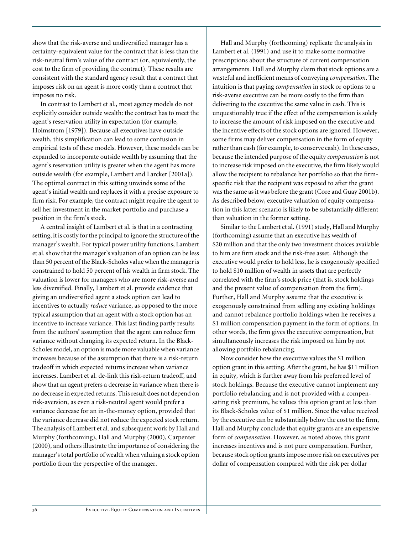show that the risk-averse and undiversified manager has a certainty-equivalent value for the contract that is less than the risk-neutral firm's value of the contract (or, equivalently, the cost to the firm of providing the contract). These results are consistent with the standard agency result that a contract that imposes risk on an agent is more costly than a contract that imposes no risk.

In contrast to Lambert et al., most agency models do not explicitly consider outside wealth: the contract has to meet the agent's reservation utility in expectation (for example, Holmstrom [1979]). Because all executives have outside wealth, this simplification can lead to some confusion in empirical tests of these models. However, these models can be expanded to incorporate outside wealth by assuming that the agent's reservation utility is greater when the agent has more outside wealth (for example, Lambert and Larcker [2001a]). The optimal contract in this setting unwinds some of the agent's initial wealth and replaces it with a precise exposure to firm risk. For example, the contract might require the agent to sell her investment in the market portfolio and purchase a position in the firm's stock.

A central insight of Lambert et al. is that in a contracting setting, it is costly for the principal to ignore the structure of the manager's wealth. For typical power utility functions, Lambert et al. show that the manager's valuation of an option can be less than 50 percent of the Black-Scholes value when the manager is constrained to hold 50 percent of his wealth in firm stock. The valuation is lower for managers who are more risk-averse and less diversified. Finally, Lambert et al. provide evidence that giving an undiversified agent a stock option can lead to incentives to actually *reduce* variance, as opposed to the more typical assumption that an agent with a stock option has an incentive to increase variance. This last finding partly results from the authors' assumption that the agent can reduce firm variance without changing its expected return. In the Black-Scholes model, an option is made more valuable when variance increases because of the assumption that there is a risk-return tradeoff in which expected returns increase when variance increases. Lambert et al. de-link this risk-return tradeoff, and show that an agent prefers a decrease in variance when there is no decrease in expected returns. This result does not depend on risk-aversion, as even a risk-neutral agent would prefer a variance decrease for an in-the-money option, provided that the variance decrease did not reduce the expected stock return. The analysis of Lambert et al. and subsequent work by Hall and Murphy (forthcoming), Hall and Murphy (2000), Carpenter (2000), and others illustrate the importance of considering the manager's total portfolio of wealth when valuing a stock option portfolio from the perspective of the manager.

Hall and Murphy (forthcoming) replicate the analysis in Lambert et al. (1991) and use it to make some normative prescriptions about the structure of current compensation arrangements. Hall and Murphy claim that stock options are a wasteful and inefficient means of conveying *compensation*. The intuition is that paying *compensation* in stock or options to a risk-averse executive can be more costly to the firm than delivering to the executive the same value in cash. This is unquestionably true if the effect of the compensation is solely to increase the amount of risk imposed on the executive and the incentive effects of the stock options are ignored. However, some firms may deliver compensation in the form of equity rather than cash (for example, to conserve cash). In these cases, because the intended purpose of the equity *compensation* is not to increase risk imposed on the executive, the firm likely would allow the recipient to rebalance her portfolio so that the firmspecific risk that the recipient was exposed to after the grant was the same as it was before the grant (Core and Guay 2001b). As described below, executive valuation of equity compensation in this latter scenario is likely to be substantially different than valuation in the former setting.

Similar to the Lambert et al. (1991) study, Hall and Murphy (forthcoming) assume that an executive has wealth of \$20 million and that the only two investment choices available to him are firm stock and the risk-free asset. Although the executive would prefer to hold less, he is exogenously specified to hold \$10 million of wealth in assets that are perfectly correlated with the firm's stock price (that is, stock holdings and the present value of compensation from the firm). Further, Hall and Murphy assume that the executive is exogenously constrained from selling any existing holdings and cannot rebalance portfolio holdings when he receives a \$1 million compensation payment in the form of options. In other words, the firm gives the executive compensation, but simultaneously increases the risk imposed on him by not allowing portfolio rebalancing.

Now consider how the executive values the \$1 million option grant in this setting. After the grant, he has \$11 million in equity, which is further away from his preferred level of stock holdings. Because the executive cannot implement any portfolio rebalancing and is not provided with a compensating risk premium, he values this option grant at less than its Black-Scholes value of \$1 million. Since the value received by the executive can be substantially below the cost to the firm, Hall and Murphy conclude that equity grants are an expensive form of *compensation*. However, as noted above, this grant increases incentives and is not pure compensation. Further, because stock option grants impose more risk on executives per dollar of compensation compared with the risk per dollar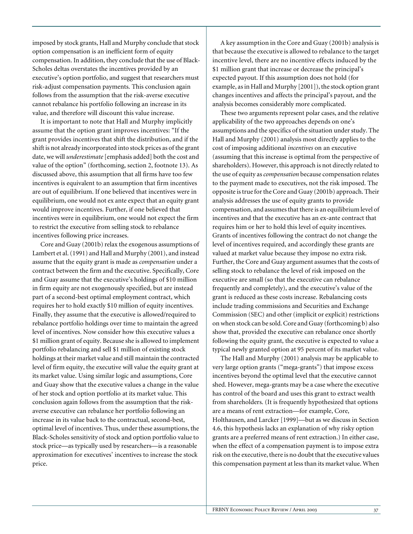imposed by stock grants, Hall and Murphy conclude that stock option compensation is an inefficient form of equity compensation. In addition, they conclude that the use of Black-Scholes deltas overstates the incentives provided by an executive's option portfolio, and suggest that researchers must risk-adjust compensation payments. This conclusion again follows from the assumption that the risk-averse executive cannot rebalance his portfolio following an increase in its value, and therefore will discount this value increase.

It is important to note that Hall and Murphy implicitly assume that the option grant improves incentives: "If the grant provides incentives that shift the distribution, and if the shift is not already incorporated into stock prices as of the grant date, we will *underestimate* [emphasis added] both the cost and value of the option" (forthcoming, section 2, footnote 13). As discussed above, this assumption that all firms have too few incentives is equivalent to an assumption that firm incentives are out of equilibrium. If one believed that incentives were in equilibrium, one would not ex ante expect that an equity grant would improve incentives. Further, if one believed that incentives were in equilibrium, one would not expect the firm to restrict the executive from selling stock to rebalance incentives following price increases.

Core and Guay (2001b) relax the exogenous assumptions of Lambert et al. (1991) and Hall and Murphy (2001), and instead assume that the equity grant is made as *compensation* under a contract between the firm and the executive. Specifically, Core and Guay assume that the executive's holdings of \$10 million in firm equity are not exogenously specified, but are instead part of a second-best optimal employment contract, which requires her to hold exactly \$10 million of equity incentives. Finally, they assume that the executive is allowed/required to rebalance portfolio holdings over time to maintain the agreed level of incentives. Now consider how this executive values a \$1 million grant of equity. Because she is allowed to implement portfolio rebalancing and sell \$1 million of existing stock holdings at their market value and still maintain the contracted level of firm equity, the executive will value the equity grant at its market value. Using similar logic and assumptions, Core and Guay show that the executive values a change in the value of her stock and option portfolio at its market value. This conclusion again follows from the assumption that the riskaverse executive can rebalance her portfolio following an increase in its value back to the contractual, second-best, optimal level of incentives. Thus, under these assumptions, the Black-Scholes sensitivity of stock and option portfolio value to stock price—as typically used by researchers—is a reasonable approximation for executives' incentives to increase the stock price.

A key assumption in the Core and Guay (2001b) analysis is that because the executive is allowed to rebalance to the target incentive level, there are no incentive effects induced by the \$1 million grant that increase or decrease the principal's expected payout. If this assumption does not hold (for example, as in Hall and Murphy [2001]), the stock option grant changes incentives and affects the principal's payout, and the analysis becomes considerably more complicated.

These two arguments represent polar cases, and the relative applicability of the two approaches depends on one's assumptions and the specifics of the situation under study. The Hall and Murphy (2001) analysis most directly applies to the cost of imposing additional *incentives* on an executive (assuming that this increase is optimal from the perspective of shareholders). However, this approach is not directly related to the use of equity as *compensation* because compensation relates to the payment made to executives, not the risk imposed. The opposite is true for the Core and Guay (2001b) approach. Their analysis addresses the use of equity grants to provide compensation, and assumes that there is an equilibrium level of incentives and that the executive has an ex-ante contract that requires him or her to hold this level of equity incentives. Grants of incentives following the contract do not change the level of incentives required, and accordingly these grants are valued at market value because they impose no extra risk. Further, the Core and Guay argument assumes that the costs of selling stock to rebalance the level of risk imposed on the executive are small (so that the executive can rebalance frequently and completely), and the executive's value of the grant is reduced as these costs increase. Rebalancing costs include trading commissions and Securities and Exchange Commission (SEC) and other (implicit or explicit) restrictions on when stock can be sold. Core and Guay (forthcoming b) also show that, provided the executive can rebalance once shortly following the equity grant, the executive is expected to value a typical newly granted option at 95 percent of its market value.

The Hall and Murphy (2001) analysis may be applicable to very large option grants ("mega-grants") that impose excess incentives beyond the optimal level that the executive cannot shed. However, mega-grants may be a case where the executive has control of the board and uses this grant to extract wealth from shareholders. (It is frequently hypothesized that options are a means of rent extraction—for example, Core, Holthausen, and Larcker [1999]—but as we discuss in Section 4.6, this hypothesis lacks an explanation of why risky option grants are a preferred means of rent extraction.) In either case, when the effect of a compensation payment is to impose extra risk on the executive, there is no doubt that the executive values this compensation payment at less than its market value. When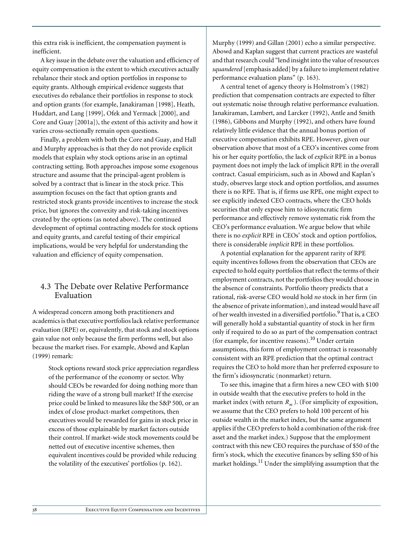this extra risk is inefficient, the compensation payment is inefficient.

A key issue in the debate over the valuation and efficiency of equity compensation is the extent to which executives actually rebalance their stock and option portfolios in response to equity grants. Although empirical evidence suggests that executives do rebalance their portfolios in response to stock and option grants (for example, Janakiraman [1998], Heath, Huddart, and Lang [1999], Ofek and Yermack [2000], and Core and Guay [2001a]), the extent of this activity and how it varies cross-sectionally remain open questions.

Finally, a problem with both the Core and Guay, and Hall and Murphy approaches is that they do not provide explicit models that explain why stock options arise in an optimal contracting setting. Both approaches impose some exogenous structure and assume that the principal-agent problem is solved by a contract that is linear in the stock price. This assumption focuses on the fact that option grants and restricted stock grants provide incentives to increase the stock price, but ignores the convexity and risk-taking incentives created by the options (as noted above). The continued development of optimal contracting models for stock options and equity grants, and careful testing of their empirical implications, would be very helpful for understanding the valuation and efficiency of equity compensation.

#### 4.3 The Debate over Relative Performance Evaluation

A widespread concern among both practitioners and academics is that executive portfolios lack relative performance evaluation (RPE) or, equivalently, that stock and stock options gain value not only because the firm performs well, but also because the market rises. For example, Abowd and Kaplan (1999) remark:

Stock options reward stock price appreciation regardless of the performance of the economy or sector. Why should CEOs be rewarded for doing nothing more than riding the wave of a strong bull market? If the exercise price could be linked to measures like the S&P 500, or an index of close product-market competitors, then executives would be rewarded for gains in stock price in excess of those explainable by market factors outside their control. If market-wide stock movements could be netted out of executive incentive schemes, then equivalent incentives could be provided while reducing the volatility of the executives' portfolios (p. 162).

Murphy (1999) and Gillan (2001) echo a similar perspective. Abowd and Kaplan suggest that current practices are wasteful and that research could "lend insight into the value of resources *squandered* [emphasis added] by a failure to implement relative performance evaluation plans" (p. 163).

A central tenet of agency theory is Holmstrom's (1982) prediction that compensation contracts are expected to filter out systematic noise through relative performance evaluation. Janakiraman, Lambert, and Larcker (1992), Antle and Smith (1986), Gibbons and Murphy (1992), and others have found relatively little evidence that the annual bonus portion of executive compensation exhibits RPE. However, given our observation above that most of a CEO's incentives come from his or her equity portfolio, the lack of *explicit* RPE in a bonus payment does not imply the lack of implicit RPE in the overall contract. Casual empiricism, such as in Abowd and Kaplan's study, observes large stock and option portfolios, and assumes there is no RPE. That is, if firms use RPE, one might expect to see explicitly indexed CEO contracts, where the CEO holds securities that only expose him to idiosyncratic firm performance and effectively remove systematic risk from the CEO's performance evaluation. We argue below that while there is no *explicit* RPE in CEOs' stock and option portfolios, there is considerable *implicit* RPE in these portfolios.

A potential explanation for the apparent rarity of RPE equity incentives follows from the observation that CEOs are expected to hold equity portfolios that reflect the terms of their employment contracts, not the portfolios they would choose in the absence of constraints. Portfolio theory predicts that a rational, risk-averse CEO would hold *no* stock in her firm (in the absence of private information), and instead would have *all*  of her wealth invested in a diversified portfolio.  $^9$  That is, a CEO will generally hold a substantial quantity of stock in her firm only if required to do so as part of the compensation contract (for example, for incentive reasons).<sup>10</sup> Under certain assumptions, this form of employment contract is reasonably consistent with an RPE prediction that the optimal contract requires the CEO to hold more than her preferred exposure to the firm's idiosyncratic (nonmarket) return.

To see this, imagine that a firm hires a new CEO with \$100 in outside wealth that the executive prefers to hold in the market index (with return  $R_m$ ). (For simplicity of exposition, we assume that the CEO prefers to hold 100 percent of his outside wealth in the market index, but the same argument applies if the CEO prefers to hold a combination of the risk-free asset and the market index.) Suppose that the employment contract with this new CEO requires the purchase of \$50 of the firm's stock, which the executive finances by selling \$50 of his market holdings.<sup>11</sup> Under the simplifying assumption that the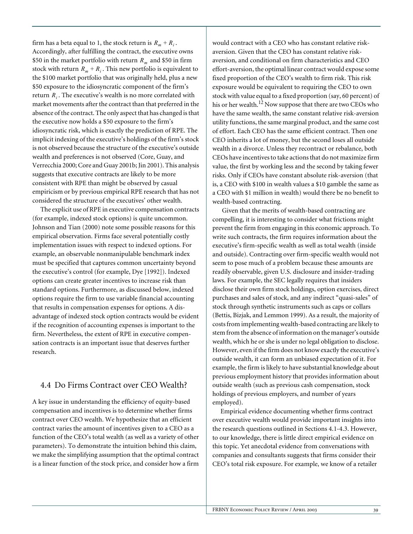firm has a beta equal to 1, the stock return is  $R_m + R_i$ . Accordingly, after fulfilling the contract, the executive owns \$50 in the market portfolio with return  $R_m$  and \$50 in firm stock with return  $R_m + R_i$ . This new portfolio is equivalent to the \$100 market portfolio that was originally held, plus a new \$50 exposure to the idiosyncratic component of the firm's return  $R_i$ . The executive's wealth is no more correlated with market movements after the contract than that preferred in the absence of the contract. The only aspect that has changed is that the executive now holds a \$50 exposure to the firm's idiosyncratic risk, which is exactly the prediction of RPE. The implicit indexing of the executive's holdings of the firm's stock is not observed because the structure of the executive's outside wealth and preferences is not observed (Core, Guay, and Verrecchia 2000; Core and Guay 2001b; Jin 2001). This analysis suggests that executive contracts are likely to be more consistent with RPE than might be observed by casual empiricism or by previous empirical RPE research that has not considered the structure of the executives' other wealth.

The explicit use of RPE in executive compensation contracts (for example, indexed stock options) is quite uncommon. Johnson and Tian (2000) note some possible reasons for this empirical observation. Firms face several potentially costly implementation issues with respect to indexed options. For example, an observable nonmanipulable benchmark index must be specified that captures common uncertainty beyond the executive's control (for example, Dye [1992]). Indexed options can create greater incentives to increase risk than standard options. Furthermore, as discussed below, indexed options require the firm to use variable financial accounting that results in compensation expenses for options. A disadvantage of indexed stock option contracts would be evident if the recognition of accounting expenses is important to the firm. Nevertheless, the extent of RPE in executive compensation contracts is an important issue that deserves further research.

## 4.4 Do Firms Contract over CEO Wealth?

A key issue in understanding the efficiency of equity-based compensation and incentives is to determine whether firms contract over CEO wealth. We hypothesize that an efficient contract varies the amount of incentives given to a CEO as a function of the CEO's total wealth (as well as a variety of other parameters). To demonstrate the intuition behind this claim, we make the simplifying assumption that the optimal contract is a linear function of the stock price, and consider how a firm would contract with a CEO who has constant relative riskaversion. Given that the CEO has constant relative riskaversion, and conditional on firm characteristics and CEO effort-aversion, the optimal linear contract would expose some fixed proportion of the CEO's wealth to firm risk. This risk exposure would be equivalent to requiring the CEO to own stock with value equal to a fixed proportion (say, 60 percent) of his or her wealth.<sup>12</sup> Now suppose that there are two CEOs who have the same wealth, the same constant relative risk-aversion utility functions, the same marginal product, and the same cost of effort. Each CEO has the same efficient contract. Then one CEO inherits a lot of money, but the second loses all outside wealth in a divorce. Unless they recontract or rebalance, both CEOs have incentives to take actions that do not maximize firm value, the first by working less and the second by taking fewer risks. Only if CEOs have constant absolute risk-aversion (that is, a CEO with \$100 in wealth values a \$10 gamble the same as a CEO with \$1 million in wealth) would there be no benefit to wealth-based contracting.

 Given that the merits of wealth-based contracting are compelling, it is interesting to consider what frictions might prevent the firm from engaging in this economic approach. To write such contracts, the firm requires information about the executive's firm-specific wealth as well as total wealth (inside and outside). Contracting over firm-specific wealth would not seem to pose much of a problem because these amounts are readily observable, given U.S. disclosure and insider-trading laws. For example, the SEC legally requires that insiders disclose their own firm stock holdings, option exercises, direct purchases and sales of stock, and any indirect "quasi-sales" of stock through synthetic instruments such as caps or collars (Bettis, Bizjak, and Lemmon 1999). As a result, the majority of costs from implementing wealth-based contracting are likely to stem from the absence of information on the manager's outside wealth, which he or she is under no legal obligation to disclose. However, even if the firm does not know exactly the executive's outside wealth, it can form an unbiased expectation of it. For example, the firm is likely to have substantial knowledge about previous employment history that provides information about outside wealth (such as previous cash compensation, stock holdings of previous employers, and number of years employed).

Empirical evidence documenting whether firms contract over executive wealth would provide important insights into the research questions outlined in Sections 4.1-4.3. However, to our knowledge, there is little direct empirical evidence on this topic. Yet anecdotal evidence from conversations with companies and consultants suggests that firms consider their CEO's total risk exposure. For example, we know of a retailer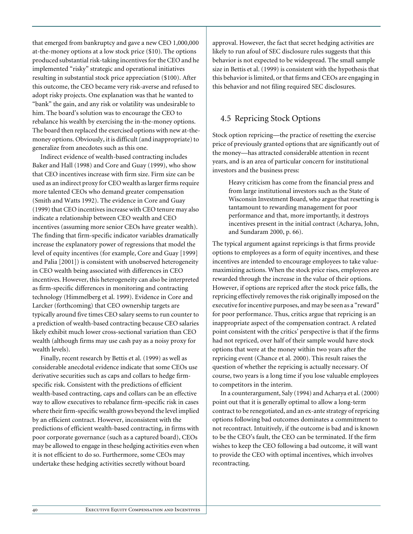that emerged from bankruptcy and gave a new CEO 1,000,000 at-the-money options at a low stock price (\$10). The options produced substantial risk-taking incentives for the CEO and he implemented "risky" strategic and operational initiatives resulting in substantial stock price appreciation (\$100). After this outcome, the CEO became very risk-averse and refused to adopt risky projects. One explanation was that he wanted to "bank" the gain, and any risk or volatility was undesirable to him. The board's solution was to encourage the CEO to rebalance his wealth by exercising the in-the-money options. The board then replaced the exercised options with new at-themoney options. Obviously, it is difficult (and inappropriate) to generalize from anecdotes such as this one.

Indirect evidence of wealth-based contracting includes Baker and Hall (1998) and Core and Guay (1999), who show that CEO incentives increase with firm size. Firm size can be used as an indirect proxy for CEO wealth as larger firms require more talented CEOs who demand greater compensation (Smith and Watts 1992). The evidence in Core and Guay (1999) that CEO incentives increase with CEO tenure may also indicate a relationship between CEO wealth and CEO incentives (assuming more senior CEOs have greater wealth). The finding that firm-specific indicator variables dramatically increase the explanatory power of regressions that model the level of equity incentives (for example, Core and Guay [1999] and Palia [2001]) is consistent with unobserved heterogeneity in CEO wealth being associated with differences in CEO incentives. However, this heterogeneity can also be interpreted as firm-specific differences in monitoring and contracting technology (Himmelberg et al. 1999). Evidence in Core and Larcker (forthcoming) that CEO ownership targets are typically around five times CEO salary seems to run counter to a prediction of wealth-based contracting because CEO salaries likely exhibit much lower cross-sectional variation than CEO wealth (although firms may use cash pay as a noisy proxy for wealth levels).

Finally, recent research by Bettis et al. (1999) as well as considerable anecdotal evidence indicate that some CEOs use derivative securities such as caps and collars to hedge firmspecific risk. Consistent with the predictions of efficient wealth-based contracting, caps and collars can be an effective way to allow executives to rebalance firm-specific risk in cases where their firm-specific wealth grows beyond the level implied by an efficient contract. However, inconsistent with the predictions of efficient wealth-based contracting, in firms with poor corporate governance (such as a captured board), CEOs may be allowed to engage in these hedging activities even when it is not efficient to do so. Furthermore, some CEOs may undertake these hedging activities secretly without board

approval. However, the fact that secret hedging activities are likely to run afoul of SEC disclosure rules suggests that this behavior is not expected to be widespread. The small sample size in Bettis et al. (1999) is consistent with the hypothesis that this behavior is limited, or that firms and CEOs are engaging in this behavior and not filing required SEC disclosures.

# 4.5 Repricing Stock Options

Stock option repricing—the practice of resetting the exercise price of previously granted options that are significantly out of the money—has attracted considerable attention in recent years, and is an area of particular concern for institutional investors and the business press:

Heavy criticism has come from the financial press and from large institutional investors such as the State of Wisconsin Investment Board, who argue that resetting is tantamount to rewarding management for poor performance and that, more importantly, it destroys incentives present in the initial contract (Acharya, John, and Sundaram 2000, p. 66).

The typical argument against repricings is that firms provide options to employees as a form of equity incentives, and these incentives are intended to encourage employees to take valuemaximizing actions. When the stock price rises, employees are rewarded through the increase in the value of their options. However, if options are repriced after the stock price falls, the repricing effectively removes the risk originally imposed on the executive for incentive purposes, and may be seen as a "reward" for poor performance. Thus, critics argue that repricing is an inappropriate aspect of the compensation contract. A related point consistent with the critics' perspective is that if the firms had not repriced, over half of their sample would have stock options that were at the money within two years after the repricing event (Chance et al. 2000). This result raises the question of whether the repricing is actually necessary. Of course, two years is a long time if you lose valuable employees to competitors in the interim.

In a counterargument, Saly (1994) and Acharya et al. (2000) point out that it is generally optimal to allow a long-term contract to be renegotiated, and an ex-ante strategy of repricing options following bad outcomes dominates a commitment to not recontract. Intuitively, if the outcome is bad and is known to be the CEO's fault, the CEO can be terminated. If the firm wishes to keep the CEO following a bad outcome, it will want to provide the CEO with optimal incentives, which involves recontracting.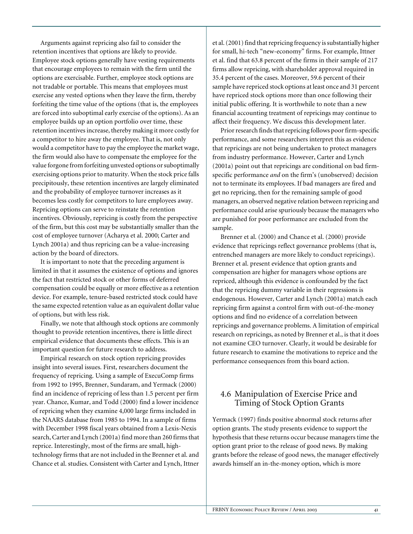Arguments against repricing also fail to consider the retention incentives that options are likely to provide. Employee stock options generally have vesting requirements that encourage employees to remain with the firm until the options are exercisable. Further, employee stock options are not tradable or portable. This means that employees must exercise any vested options when they leave the firm, thereby forfeiting the time value of the options (that is, the employees are forced into suboptimal early exercise of the options). As an employee builds up an option portfolio over time, these retention incentives increase, thereby making it more costly for a competitor to hire away the employee. That is, not only would a competitor have to pay the employee the market wage, the firm would also have to compensate the employee for the value forgone from forfeiting unvested options or suboptimally exercising options prior to maturity. When the stock price falls precipitously, these retention incentives are largely eliminated and the probability of employee turnover increases as it becomes less costly for competitors to lure employees away. Repricing options can serve to reinstate the retention incentives. Obviously, repricing is costly from the perspective of the firm, but this cost may be substantially smaller than the cost of employee turnover (Acharya et al. 2000; Carter and Lynch 2001a) and thus repricing can be a value-increasing action by the board of directors.

It is important to note that the preceding argument is limited in that it assumes the existence of options and ignores the fact that restricted stock or other forms of deferred compensation could be equally or more effective as a retention device. For example, tenure-based restricted stock could have the same expected retention value as an equivalent dollar value of options, but with less risk.

Finally, we note that although stock options are commonly thought to provide retention incentives, there is little direct empirical evidence that documents these effects. This is an important question for future research to address.

Empirical research on stock option repricing provides insight into several issues. First, researchers document the frequency of repricing. Using a sample of ExecuComp firms from 1992 to 1995, Brenner, Sundaram, and Yermack (2000) find an incidence of repricing of less than 1.5 percent per firm year. Chance, Kumar, and Todd (2000) find a lower incidence of repricing when they examine 4,000 large firms included in the NAARS database from 1985 to 1994. In a sample of firms with December 1998 fiscal years obtained from a Lexis-Nexis search, Carter and Lynch (2001a) find more than 260 firms that reprice. Interestingly, most of the firms are small, hightechnology firms that are not included in the Brenner et al. and Chance et al. studies. Consistent with Carter and Lynch, Ittner

et al. (2001) find that repricing frequency is substantially higher for small, hi-tech "new-economy" firms. For example, Ittner et al. find that 63.8 percent of the firms in their sample of 217 firms allow repricing, with shareholder approval required in 35.4 percent of the cases. Moreover, 59.6 percent of their sample have repriced stock options at least once and 31 percent have repriced stock options more than once following their initial public offering. It is worthwhile to note than a new financial accounting treatment of repricings may continue to affect their frequency. We discuss this development later.

Prior research finds that repricing follows poor firm-specific performance, and some researchers interpret this as evidence that repricings are not being undertaken to protect managers from industry performance. However, Carter and Lynch (2001a) point out that repricings are conditional on bad firmspecific performance *and* on the firm's (unobserved) decision not to terminate its employees. If bad managers are fired and get no repricing, then for the remaining sample of good managers, an observed negative relation between repricing and performance could arise spuriously because the managers who are punished for poor performance are excluded from the sample.

Brenner et al. (2000) and Chance et al. (2000) provide evidence that repricings reflect governance problems (that is, entrenched managers are more likely to conduct repricings). Brenner et al. present evidence that option grants and compensation are higher for managers whose options are repriced, although this evidence is confounded by the fact that the repricing dummy variable in their regressions is endogenous. However, Carter and Lynch (2001a) match each repricing firm against a control firm with out-of-the-money options and find no evidence of a correlation between repricings and governance problems. A limitation of empirical research on repricings, as noted by Brenner et al., is that it does not examine CEO turnover. Clearly, it would be desirable for future research to examine the motivations to reprice and the performance consequences from this board action.

#### 4.6 Manipulation of Exercise Price and Timing of Stock Option Grants

Yermack (1997) finds positive abnormal stock returns after option grants. The study presents evidence to support the hypothesis that these returns occur because managers time the option grant prior to the release of good news. By making grants before the release of good news, the manager effectively awards himself an in-the-money option, which is more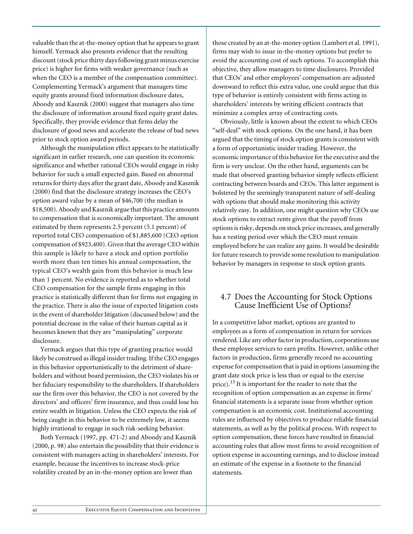valuable than the at-the-money option that he appears to grant himself. Yermack also presents evidence that the resulting discount (stock price thirty days following grant minus exercise price) is higher for firms with weaker governance (such as when the CEO is a member of the compensation committee). Complementing Yermack's argument that managers time equity grants around fixed information disclosure dates, Aboody and Kasznik (2000) suggest that managers also time the disclosure of information around fixed equity grant dates. Specifically, they provide evidence that firms delay the disclosure of good news and accelerate the release of bad news prior to stock option award periods.

Although the manipulation effect appears to be statistically significant in earlier research, one can question its economic significance and whether rational CEOs would engage in risky behavior for such a small expected gain. Based on abnormal returns for thirty days after the grant date, Aboody and Kasznik (2000) find that the disclosure strategy increases the CEO's option award value by a mean of \$46,700 (the median is \$18,500). Aboody and Kasznik argue that this practice amounts to compensation that is economically important. The amount estimated by them represents 2.5 percent (5.1 percent) of reported total CEO compensation of \$1,885,600 (CEO option compensation of \$923,400). Given that the average CEO within this sample is likely to have a stock and option portfolio worth more than ten times his annual compensation, the typical CEO's wealth gain from this behavior is much less than 1 percent. No evidence is reported as to whether total CEO compensation for the sample firms engaging in this practice is statistically different than for firms not engaging in the practice. There is also the issue of expected litigation costs in the event of shareholder litigation (discussed below) and the potential decrease in the value of their human capital as it becomes known that they are "manipulating" corporate disclosure.

Yermack argues that this type of granting practice would likely be construed as illegal insider trading. If the CEO engages in this behavior opportunistically to the detriment of shareholders and without board permission, the CEO violates his or her fiduciary responsibility to the shareholders. If shareholders sue the firm over this behavior, the CEO is not covered by the directors' and officers' firm insurance, and thus could lose his entire wealth in litigation. Unless the CEO expects the risk of being caught in this behavior to be extremely low, it seems highly irrational to engage in such risk-seeking behavior.

Both Yermack (1997, pp. 471-2) and Aboody and Kasznik (2000, p. 98) also entertain the possibility that their evidence is consistent with managers acting in shareholders' interests. For example, because the incentives to increase stock-price volatility created by an in-the-money option are lower than

those created by an at-the-money option (Lambert et al. 1991), firms may wish to issue in-the-money options but prefer to avoid the accounting cost of such options. To accomplish this objective, they allow managers to time disclosures. Provided that CEOs' and other employees' compensation are adjusted downward to reflect this extra value, one could argue that this type of behavior is entirely consistent with firms acting in shareholders' interests by writing efficient contracts that minimize a complex array of contracting costs.

Obviously, little is known about the extent to which CEOs "self-deal" with stock options. On the one hand, it has been argued that the timing of stock option grants is consistent with a form of opportunistic insider trading. However, the economic importance of this behavior for the executive and the firm is very unclear. On the other hand, arguments can be made that observed granting behavior simply reflects efficient contracting between boards and CEOs. This latter argument is bolstered by the seemingly transparent nature of self-dealing with options that should make monitoring this activity relatively easy. In addition, one might question why CEOs use stock options to extract rents given that the payoff from options is risky, depends on stock price increases, and generally has a vesting period over which the CEO must remain employed before he can realize any gains. It would be desirable for future research to provide some resolution to manipulation behavior by managers in response to stock option grants.

## 4.7 Does the Accounting for Stock Options Cause Inefficient Use of Options?

In a competitive labor market, options are granted to employees as a form of compensation in return for services rendered. Like any other factor in production, corporations use these employee services to earn profits. However, unlike other factors in production, firms generally record no accounting expense for compensation that is paid in options (assuming the grant date stock price is less than or equal to the exercise price).<sup>13</sup> It is important for the reader to note that the recognition of option compensation as an expense in firms' financial statements is a separate issue from whether option compensation is an economic cost. Institutional accounting rules are influenced by objectives to produce reliable financial statements, as well as by the political process. With respect to option compensation, these forces have resulted in financial accounting rules that allow most firms to avoid recognition of option expense in accounting earnings, and to disclose instead an estimate of the expense in a footnote to the financial statements.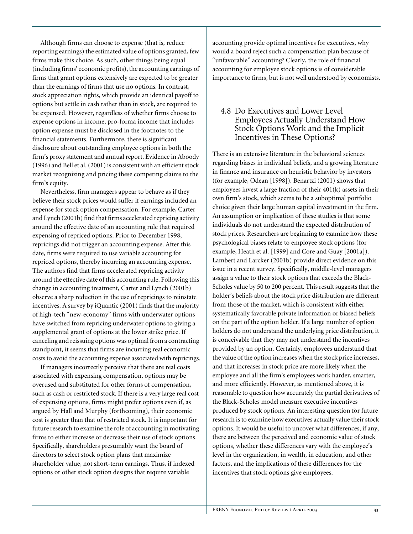Although firms can choose to expense (that is, reduce reporting earnings) the estimated value of options granted, few firms make this choice. As such, other things being equal (including firms' economic profits), the accounting earnings of firms that grant options extensively are expected to be greater than the earnings of firms that use no options. In contrast, stock appreciation rights, which provide an identical payoff to options but settle in cash rather than in stock, are required to be expensed. However, regardless of whether firms choose to expense options in income, pro-forma income that includes option expense must be disclosed in the footnotes to the financial statements. Furthermore, there is significant disclosure about outstanding employee options in both the firm's proxy statement and annual report. Evidence in Aboody (1996) and Bell et al. (2001) is consistent with an efficient stock market recognizing and pricing these competing claims to the firm's equity.

Nevertheless, firm managers appear to behave as if they believe their stock prices would suffer if earnings included an expense for stock option compensation. For example, Carter and Lynch (2001b) find that firms accelerated repricing activity around the effective date of an accounting rule that required expensing of repriced options. Prior to December 1998, repricings did not trigger an accounting expense. After this date, firms were required to use variable accounting for repriced options, thereby incurring an accounting expense. The authors find that firms accelerated repricing activity around the effective date of this accounting rule. Following this change in accounting treatment, Carter and Lynch (2001b) observe a sharp reduction in the use of repricings to reinstate incentives. A survey by iQuantic (2001) finds that the majority of high-tech "new-economy" firms with underwater options have switched from repricing underwater options to giving a supplemental grant of options at the lower strike price. If canceling and reissuing options was optimal from a contracting standpoint, it seems that firms are incurring real economic costs to avoid the accounting expense associated with repricings.

If managers incorrectly perceive that there are real costs associated with expensing compensation, options may be overused and substituted for other forms of compensation, such as cash or restricted stock. If there is a very large real cost of expensing options, firms might prefer options even if, as argued by Hall and Murphy (forthcoming), their economic cost is greater than that of restricted stock. It is important for future research to examine the role of accounting in motivating firms to either increase or decrease their use of stock options. Specifically, shareholders presumably want the board of directors to select stock option plans that maximize shareholder value, not short-term earnings. Thus, if indexed options or other stock option designs that require variable

accounting provide optimal incentives for executives, why would a board reject such a compensation plan because of "unfavorable" accounting? Clearly, the role of financial accounting for employee stock options is of considerable importance to firms, but is not well understood by economists.

#### 4.8 Do Executives and Lower Level Employees Actually Understand How Stock Options Work and the Implicit Incentives in These Options?

There is an extensive literature in the behavioral sciences regarding biases in individual beliefs, and a growing literature in finance and insurance on heuristic behavior by investors (for example, Odean [1998]). Benartzi (2001) shows that employees invest a large fraction of their 401(k) assets in their own firm's stock, which seems to be a suboptimal portfolio choice given their large human capital investment in the firm. An assumption or implication of these studies is that some individuals do not understand the expected distribution of stock prices. Researchers are beginning to examine how these psychological biases relate to employee stock options (for example, Heath et al. [1999] and Core and Guay [2001a]). Lambert and Larcker (2001b) provide direct evidence on this issue in a recent survey. Specifically, middle-level managers assign a value to their stock options that exceeds the Black-Scholes value by 50 to 200 percent. This result suggests that the holder's beliefs about the stock price distribution are different from those of the market, which is consistent with either systematically favorable private information or biased beliefs on the part of the option holder. If a large number of option holders do not understand the underlying price distribution, it is conceivable that they may not understand the incentives provided by an option. Certainly, employees understand that the value of the option increases when the stock price increases, and that increases in stock price are more likely when the employee and all the firm's employees work harder, smarter, and more efficiently. However, as mentioned above, it is reasonable to question how accurately the partial derivatives of the Black-Scholes model measure executive incentives produced by stock options. An interesting question for future research is to examine how executives actually value their stock options. It would be useful to uncover what differences, if any, there are between the perceived and economic value of stock options, whether these differences vary with the employee's level in the organization, in wealth, in education, and other factors, and the implications of these differences for the incentives that stock options give employees.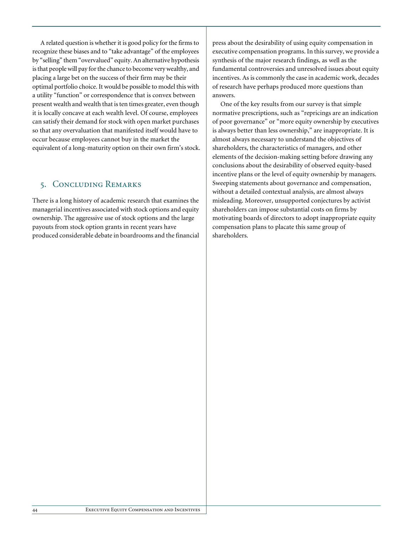A related question is whether it is good policy for the firms to recognize these biases and to "take advantage" of the employees by "selling" them "overvalued" equity. An alternative hypothesis is that people will pay for the chance to become very wealthy, and placing a large bet on the success of their firm may be their optimal portfolio choice. It would be possible to model this with a utility "function" or correspondence that is convex between present wealth and wealth that is ten times greater, even though it is locally concave at each wealth level. Of course, employees can satisfy their demand for stock with open market purchases so that any overvaluation that manifested itself would have to occur because employees cannot buy in the market the equivalent of a long-maturity option on their own firm's stock.

## 5. Concluding Remarks

There is a long history of academic research that examines the managerial incentives associated with stock options and equity ownership. The aggressive use of stock options and the large payouts from stock option grants in recent years have produced considerable debate in boardrooms and the financial press about the desirability of using equity compensation in executive compensation programs. In this survey, we provide a synthesis of the major research findings, as well as the fundamental controversies and unresolved issues about equity incentives. As is commonly the case in academic work, decades of research have perhaps produced more questions than answers.

One of the key results from our survey is that simple normative prescriptions, such as "repricings are an indication of poor governance" or "more equity ownership by executives is always better than less ownership," are inappropriate. It is almost always necessary to understand the objectives of shareholders, the characteristics of managers, and other elements of the decision-making setting before drawing any conclusions about the desirability of observed equity-based incentive plans or the level of equity ownership by managers. Sweeping statements about governance and compensation, without a detailed contextual analysis, are almost always misleading. Moreover, unsupported conjectures by activist shareholders can impose substantial costs on firms by motivating boards of directors to adopt inappropriate equity compensation plans to placate this same group of shareholders.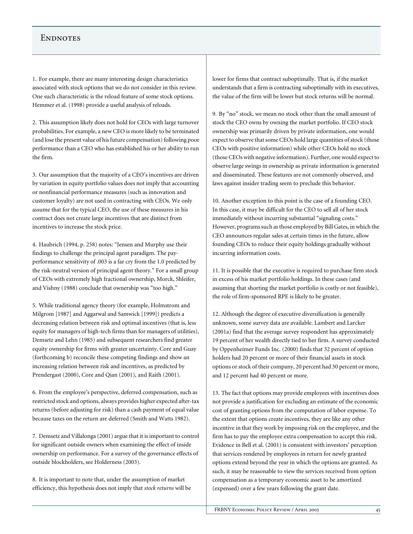#### **ENDNOTES**

1. For example, there are many interesting design characteristics associated with stock options that we do not consider in this review. One such characteristic is the reload feature of some stock options. Hemmer et al. (1998) provide a useful analysis of reloads.

2. This assumption likely does not hold for CEOs with large turnover probabilities. For example, a new CEO is more likely to be terminated (and lose the present value of his future compensation) following poor performance than a CEO who has established his or her ability to run the firm.

3. Our assumption that the majority of a CEO's incentives are driven by variation in equity portfolio values does not imply that accounting or nonfinancial performance measures (such as innovation and customer loyalty) are not used in contracting with CEOs. We only assume that for the typical CEO, the use of these measures in his contract does not create large incentives that are distinct from incentives to increase the stock price.

4. Haubrich (1994, p. 258) notes: "Jensen and Murphy use their findings to challenge the principal agent paradigm. The payperformance sensitivity of .003 is a far cry from the 1.0 predicted by the risk-neutral version of principal agent theory." For a small group of CEOs with extremely high fractional ownership, Morck, Shleifer, and Vishny (1988) conclude that ownership was "too high."

5. While traditional agency theory (for example, Holmstrom and Milgrom [1987] and Aggarwal and Samwick [1999]) predicts a decreasing relation between risk and optimal incentives (that is, less equity for managers of high-tech firms than for managers of utilities), Demsetz and Lehn (1985) and subsequent researchers find greater equity ownership for firms with greater uncertainty. Core and Guay (forthcoming b) reconcile these competing findings and show an increasing relation between risk and incentives, as predicted by Prendergast (2000), Core and Qian (2001), and Raith (2001).

6. From the employee's perspective, deferred compensation, such as restricted stock and options, always provides higher expected after-tax returns (before adjusting for risk) than a cash payment of equal value because taxes on the return are deferred (Smith and Watts 1982).

7. Demsetz and Villalonga (2001) argue that it is important to control for significant outside owners when examining the effect of inside ownership on performance. For a survey of the governance effects of outside blockholders, see Holderness (2003).

8. It is important to note that, under the assumption of market efficiency, this hypothesis does not imply that *stock returns* will be lower for firms that contract suboptimally. That is, if the market understands that a firm is contracting suboptimally with its executives, the value of the firm will be lower but stock returns will be normal.

9. By "no" stock, we mean no stock other than the small amount of stock the CEO owns by owning the market portfolio. If CEO stock ownership was primarily driven by private information, one would expect to observe that some CEOs hold large quantities of stock (those CEOs with positive information) while other CEOs hold no stock (those CEOs with negative information). Further, one would expect to observe large swings in ownership as private information is generated and disseminated. These features are not commonly observed, and laws against insider trading seem to preclude this behavior.

10. Another exception to this point is the case of a founding CEO. In this case, it may be difficult for the CEO to sell all of her stock immediately without incurring substantial "signaling costs." However, programs such as those employed by Bill Gates, in which the CEO announces regular sales at certain times in the future, allow founding CEOs to reduce their equity holdings gradually without incurring information costs.

11. It is possible that the executive is required to purchase firm stock in excess of his market portfolio holdings. In these cases (and assuming that shorting the market portfolio is costly or not feasible), the role of firm-sponsored RPE is likely to be greater.

12. Although the degree of executive diversification is generally unknown, some survey data are available. Lambert and Larcker (2001a) find that the average survey respondent has approximately 19 percent of her wealth directly tied to her firm. A survey conducted by Oppenheimer Funds Inc. (2000) finds that 32 percent of option holders had 20 percent or more of their financial assets in stock options or stock of their company, 20 percent had 30 percent or more, and 12 percent had 40 percent or more.

13. The fact that options may provide employees with incentives does not provide a justification for excluding an estimate of the economic cost of granting options from the computation of labor expense. To the extent that options create incentives, they are like any other incentive in that they work by imposing risk on the employee, and the firm has to pay the employee extra compensation to accept this risk. Evidence in Bell et al. (2001) is consistent with investors' perception that services rendered by employees in return for newly granted options extend beyond the year in which the options are granted. As such, it may be reasonable to view the services received from option compensation as a temporary economic asset to be amortized (expensed) over a few years following the grant date.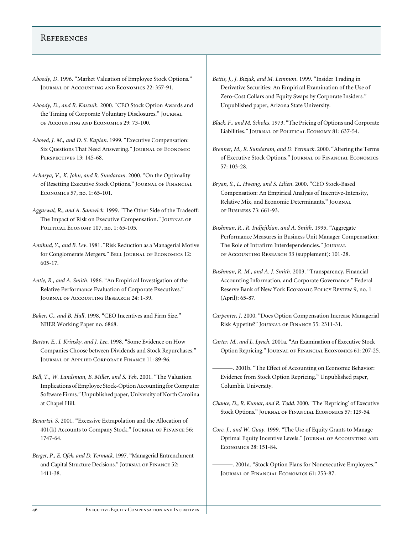#### **REFERENCES**

- *Aboody, D*. 1996. "Market Valuation of Employee Stock Options." Journal of Accounting and Economics 22: 357-91.
- *Aboody, D., and R. Kasznik*. 2000. "CEO Stock Option Awards and the Timing of Corporate Voluntary Disclosures." Journal of Accounting and Economics 29: 73-100.
- *Abowd, J. M., and D. S. Kaplan*. 1999. "Executive Compensation: Six Questions That Need Answering." Journal of Economic PERSPECTIVES 13: 145-68.
- *Acharya, V., K. John, and R. Sundaram*. 2000. "On the Optimality of Resetting Executive Stock Options." Journal of Financial Economics 57, no. 1: 65-101.
- *Aggarwal, R., and A. Samwick*. 1999. "The Other Side of the Tradeoff: The Impact of Risk on Executive Compensation." Journal of Political Economy 107, no. 1: 65-105.
- *Amihud, Y., and B. Lev*. 1981. "Risk Reduction as a Managerial Motive for Conglomerate Mergers." BELL JOURNAL OF ECONOMICS 12: 605-17.
- *Antle, R., and A. Smith*. 1986. "An Empirical Investigation of the Relative Performance Evaluation of Corporate Executives." Journal of Accounting Research 24: 1-39.
- *Baker, G., and B. Hall*. 1998. "CEO Incentives and Firm Size." NBER Working Paper no. 6868.
- *Bartov, E., I. Krinsky, and J. Lee*. 1998. "Some Evidence on How Companies Choose between Dividends and Stock Repurchases." Journal of Applied Corporate Finance 11: 89-96.
- *Bell, T., W. Landsman, B. Miller, and S. Yeh*. 2001. "The Valuation Implications of Employee Stock-Option Accounting for Computer Software Firms." Unpublished paper, University of North Carolina at Chapel Hill.
- *Benartzi, S*. 2001. "Excessive Extrapolation and the Allocation of 401(k) Accounts to Company Stock." Journal of Finance 56: 1747-64.
- *Berger, P., E. Ofek, and D. Yermack*. 1997. "Managerial Entrenchment and Capital Structure Decisions." JOURNAL OF FINANCE 52: 1411-38.
- *Bettis, J., J. Bizjak, and M. Lemmon*. 1999. "Insider Trading in Derivative Securities: An Empirical Examination of the Use of Zero-Cost Collars and Equity Swaps by Corporate Insiders." Unpublished paper, Arizona State University.
- *Black, F., and M. Scholes*. 1973. "The Pricing of Options and Corporate Liabilities." Journal of Political Economy 81: 637-54.
- *Brenner, M., R. Sundaram, and D. Yermack*. 2000. "Altering the Terms of Executive Stock Options." Journal of Financial Economics 57: 103-28.
- *Bryan, S., L. Hwang, and S. Lilien*. 2000. "CEO Stock-Based Compensation: An Empirical Analysis of Incentive-Intensity, Relative Mix, and Economic Determinants." Journal of Business 73: 661-93.
- *Bushman, R., R. Indjejikian, and A. Smith*. 1995. "Aggregate Performance Measures in Business Unit Manager Compensation: The Role of Intrafirm Interdependencies." Journal of Accounting Research 33 (supplement): 101-28.
- *Bushman, R. M., and A. J. Smith*. 2003. "Transparency, Financial Accounting Information, and Corporate Governance." Federal Reserve Bank of New York Economic Policy Review 9, no. 1 (April): 65-87.
- *Carpenter, J*. 2000. "Does Option Compensation Increase Managerial Risk Appetite?" Journal of Finance 55: 2311-31.
- *Carter, M., and L. Lynch*. 2001a. "An Examination of Executive Stock Option Repricing." Journal of Financial Economics 61: 207-25.
- ———. 2001b. "The Effect of Accounting on Economic Behavior: Evidence from Stock Option Repricing." Unpublished paper, Columbia University.
- *Chance, D., R. Kumar, and R. Todd*. 2000. "The 'Repricing' of Executive Stock Options." Journal of Financial Economics 57: 129-54.
- *Core, J., and W. Guay*. 1999. "The Use of Equity Grants to Manage Optimal Equity Incentive Levels." Journal of Accounting and Economics 28: 151-84.
	- ———. 2001a. "Stock Option Plans for Nonexecutive Employees." Journal of Financial Economics 61: 253-87.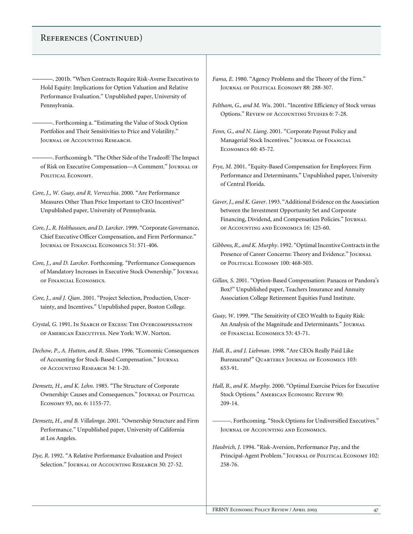———. 2001b. "When Contracts Require Risk-Averse Executives to Hold Equity: Implications for Option Valuation and Relative Performance Evaluation." Unpublished paper, University of Pennsylvania.

———. Forthcoming a. "Estimating the Value of Stock Option Portfolios and Their Sensitivities to Price and Volatility." Journal of Accounting Research.

———. Forthcoming b. "The Other Side of the Tradeoff: The Impact of Risk on Executive Compensation—A Comment." Journal of POLITICAL ECONOMY.

*Core, J., W. Guay, and R. Verrecchia*. 2000. "Are Performance Measures Other Than Price Important to CEO Incentives?" Unpublished paper, University of Pennsylvania.

*Core, J., R. Holthausen, and D. Larcker*. 1999. "Corporate Governance, Chief Executive Officer Compensation, and Firm Performance." Journal of Financial Economics 51: 371-406.

*Core, J., and D. Larcker*. Forthcoming. "Performance Consequences of Mandatory Increases in Executive Stock Ownership." Journal of Financial Economics.

*Core, J., and J. Qian*. 2001. "Project Selection, Production, Uncertainty, and Incentives." Unpublished paper, Boston College.

*Crystal, G*. 1991. In Search of Excess: The Overcompensation of American Executives. New York: W.W. Norton.

*Dechow, P., A. Hutton, and R. Sloan*. 1996. "Economic Consequences of Accounting for Stock-Based Compensation." Journal of Accounting Research 34: 1-20.

*Demsetz, H., and K. Lehn*. 1985. "The Structure of Corporate Ownership: Causes and Consequences." JOURNAL OF POLITICAL Economy 93, no. 6: 1155-77.

*Demsetz, H., and B. Villalonga*. 2001. "Ownership Structure and Firm Performance." Unpublished paper, University of California at Los Angeles.

*Dye, R*. 1992. "A Relative Performance Evaluation and Project Selection." JOURNAL OF ACCOUNTING RESEARCH 30: 27-52. *Fama, E*. 1980. "Agency Problems and the Theory of the Firm." Journal of Political Economy 88: 288-307.

*Feltham, G., and M. Wu*. 2001. "Incentive Efficiency of Stock versus Options." Review of Accounting Studies 6: 7-28.

*Fenn, G., and N. Liang*. 2001. "Corporate Payout Policy and Managerial Stock Incentives." Journal of Financial Economics 60: 45-72.

*Frye, M*. 2001. "Equity-Based Compensation for Employees: Firm Performance and Determinants." Unpublished paper, University of Central Florida.

*Gaver, J., and K. Gaver*. 1993. "Additional Evidence on the Association between the Investment Opportunity Set and Corporate Financing, Dividend, and Compensation Policies." Journal of Accounting and Economics 16: 125-60.

*Gibbons, R., and K. Murphy*. 1992. "Optimal Incentive Contracts in the Presence of Career Concerns: Theory and Evidence." Journal of Political Economy 100: 468-505.

*Gillan, S*. 2001. "Option-Based Compensation: Panacea or Pandora's Box?" Unpublished paper, Teachers Insurance and Annuity Association College Retirement Equities Fund Institute.

*Guay, W*. 1999. "The Sensitivity of CEO Wealth to Equity Risk: An Analysis of the Magnitude and Determinants." Journal of Financial Economics 53: 43-71.

*Hall, B., and J. Liebman*. 1998. "Are CEOs Really Paid Like Bureaucrats?" QUARTERLY JOURNAL OF ECONOMICS 103: 653-91.

*Hall, B., and K. Murphy*. 2000. "Optimal Exercise Prices for Executive Stock Options." American Economic Review 90: 209-14.

*———*. Forthcoming. "Stock Options for Undiversified Executives." Journal of Accounting and Economics.

*Haubrich, J*. 1994. "Risk-Aversion, Performance Pay, and the Principal-Agent Problem." JOURNAL OF POLITICAL ECONOMY 102: 258-76.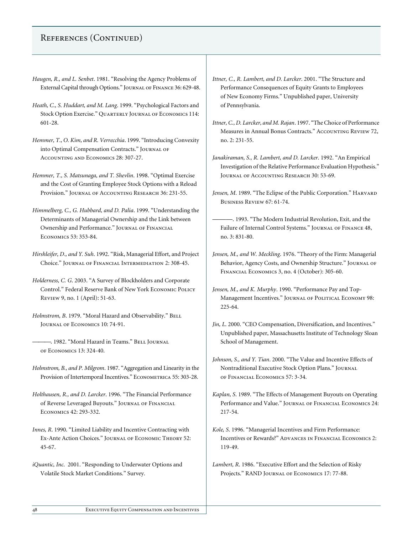- *Haugen, R., and L. Senbet*. 1981. "Resolving the Agency Problems of External Capital through Options." Journal of Finance 36: 629-48.
- *Heath, C., S. Huddart, and M. Lang*. 1999. "Psychological Factors and Stock Option Exercise." Quarterly Journal of Economics 114: 601-28.
- *Hemmer, T., O. Kim, and R. Verrecchia*. 1999. "Introducing Convexity into Optimal Compensation Contracts." JOURNAL OF Accounting and Economics 28: 307-27.
- *Hemmer, T., S. Matsunaga, and T. Shevlin*. 1998. "Optimal Exercise and the Cost of Granting Employee Stock Options with a Reload Provision." JOURNAL OF ACCOUNTING RESEARCH 36: 231-55.
- *Himmelberg, C., G. Hubbard, and D. Palia*. 1999. "Understanding the Determinants of Managerial Ownership and the Link between Ownership and Performance." Journal of Financial Economics 53: 353-84.
- *Hirshleifer, D., and Y. Suh*. 1992. "Risk, Managerial Effort, and Project Choice." Journal of Financial Intermediation 2: 308-45.
- *Holderness, C. G*. 2003. "A Survey of Blockholders and Corporate Control." Federal Reserve Bank of New York Economic Policy Review 9, no. 1 (April): 51-63.
- Holmstrom, B. 1979. "Moral Hazard and Observability." BELL Journal of Economics 10: 74-91.
- ———. 1982. "Moral Hazard in Teams." Bell Journal of Economics 13: 324-40.
- *Holmstrom, B., and P. Milgrom*. 1987. "Aggregation and Linearity in the Provision of Intertemporal Incentives." ECONOMETRICA 55: 303-28.
- *Holthausen, R., and D. Larcker*. 1996. "The Financial Performance of Reverse Leveraged Buyouts." Journal of Financial Economics 42: 293-332.
- *Innes, R*. 1990. "Limited Liability and Incentive Contracting with Ex-Ante Action Choices." Journal of Economic Theory 52: 45-67.
- *iQuantic, Inc*. 2001. "Responding to Underwater Options and Volatile Stock Market Conditions." Survey.
- *Ittner, C., R. Lambert, and D. Larcker*. 2001. "The Structure and Performance Consequences of Equity Grants to Employees of New Economy Firms." Unpublished paper, University of Pennsylvania.
- *Ittner, C., D. Larcker, and M. Rajan*. 1997. "The Choice of Performance Measures in Annual Bonus Contracts." Accounting Review 72, no. 2: 231-55.
- *Janakiraman, S., R. Lambert, and D. Larcker*. 1992. "An Empirical Investigation of the Relative Performance Evaluation Hypothesis." JOURNAL OF ACCOUNTING RESEARCH 30: 53-69.
- Jensen, M. 1989. "The Eclipse of the Public Corporation." HARVARD Business Review 67: 61-74.
	- ———. 1993. "The Modern Industrial Revolution, Exit, and the Failure of Internal Control Systems." JOURNAL OF FINANCE 48, no. 3: 831-80.
- *Jensen, M., and W. Meckling*. 1976. "Theory of the Firm: Managerial Behavior, Agency Costs, and Ownership Structure." JOURNAL OF Financial Economics 3, no. 4 (October): 305-60.
- *Jensen, M., and K. Murphy*. 1990. "Performance Pay and Top-Management Incentives." JOURNAL OF POLITICAL ECONOMY 98: 225-64.
- *Jin, L*. 2000. "CEO Compensation, Diversification, and Incentives." Unpublished paper, Massachusetts Institute of Technology Sloan School of Management.
- *Johnson, S., and Y. Tian*. 2000. "The Value and Incentive Effects of Nontraditional Executive Stock Option Plans." Journal of Financial Economics 57: 3-34.
- *Kaplan, S*. 1989. "The Effects of Management Buyouts on Operating Performance and Value." Journal of Financial Economics 24: 217-54.
- *Kole, S*. 1996. "Managerial Incentives and Firm Performance: Incentives or Rewards?" ADVANCES IN FINANCIAL ECONOMICS 2: 119-49.
- *Lambert, R*. 1986. "Executive Effort and the Selection of Risky Projects." RAND Journal of Economics 17: 77-88.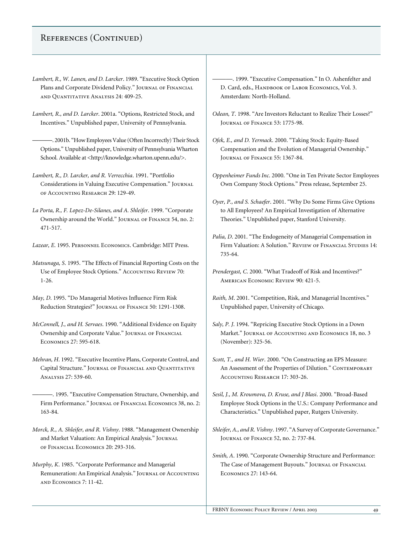- *Lambert, R., W. Lanen, and D. Larcker*. 1989. "Executive Stock Option Plans and Corporate Dividend Policy." Journal of Financial and Quantitative Analysis 24: 409-25.
- *Lambert, R., and D. Larcker*. 2001a. "Options, Restricted Stock, and Incentives." Unpublished paper, University of Pennsylvania.
	- ———. 2001b. "How Employees Value (Often Incorrectly) Their Stock Options." Unpublished paper, University of Pennsylvania Wharton School. Available at <http://knowledge.wharton.upenn.edu/>.
- *Lambert, R., D. Larcker, and R. Verrecchia*. 1991. "Portfolio Considerations in Valuing Executive Compensation." Journal of Accounting Research 29: 129-49.
- *La Porta, R., F. Lopez-De-Silanes, and A. Shleifer*. 1999. "Corporate Ownership around the World." Journal of Finance 54, no. 2: 471-517.

*Lazear, E*. 1995. Personnel Economics. Cambridge: MIT Press.

- *Matsunaga, S*. 1995. "The Effects of Financial Reporting Costs on the Use of Employee Stock Options." Accounting Review 70: 1-26.
- *May, D*. 1995. "Do Managerial Motives Influence Firm Risk Reduction Strategies?" Journal of Finance 50: 1291-1308.
- *McConnell, J., and H. Servaes*. 1990. "Additional Evidence on Equity Ownership and Corporate Value." Journal of Financial Economics 27: 595-618.
- *Mehran, H*. 1992. "Executive Incentive Plans, Corporate Control, and Capital Structure." Journal of Financial and Quantitative Analysis 27: 539-60.
- ———. 1995. "Executive Compensation Structure, Ownership, and Firm Performance." Journal of Financial Economics 38, no. 2: 163-84.
- *Morck, R., A. Shleifer, and R. Vishny*. 1988. "Management Ownership and Market Valuation: An Empirical Analysis." Journal of Financial Economics 20: 293-316.
- *Murphy, K*. 1985. "Corporate Performance and Managerial Remuneration: An Empirical Analysis." Journal of Accounting and Economics 7: 11-42.
- ———. 1999. "Executive Compensation." In O. Ashenfelter and D. Card, eds., HANDBOOK OF LABOR ECONOMICS, Vol. 3. Amsterdam: North-Holland.
- *Odean, T*. 1998. "Are Investors Reluctant to Realize Their Losses?" JOURNAL OF FINANCE 53: 1775-98.
- *Ofek, E., and D. Yermack*. 2000. "Taking Stock: Equity-Based Compensation and the Evolution of Managerial Ownership." Journal of Finance 55: 1367-84.
- *Oppenheimer Funds Inc*. 2000. "One in Ten Private Sector Employees Own Company Stock Options." Press release, September 25.
- *Oyer, P., and S. Schaefer*. 2001. "Why Do Some Firms Give Options to All Employees? An Empirical Investigation of Alternative Theories." Unpublished paper, Stanford University.
- *Palia, D*. 2001. "The Endogeneity of Managerial Compensation in Firm Valuation: A Solution." Review of FINANCIAL STUDIES 14: 735-64.
- *Prendergast, C*. 2000. "What Tradeoff of Risk and Incentives?" American Economic Review 90: 421-5.
- *Raith, M*. 2001. "Competition, Risk, and Managerial Incentives." Unpublished paper, University of Chicago.
- *Saly, P. J*. 1994. "Repricing Executive Stock Options in a Down Market." JOURNAL OF ACCOUNTING AND ECONOMICS 18, no. 3 (November): 325-56.
- *Scott, T., and H. Wier*. 2000. "On Constructing an EPS Measure: An Assessment of the Properties of Dilution." CONTEMPORARY Accounting Research 17: 303-26.
- *Sesil, J., M. Kroumova, D. Kruse, and J Blasi*. 2000. "Broad-Based Employee Stock Options in the U.S.: Company Performance and Characteristics." Unpublished paper, Rutgers University.
- *Shleifer, A., and R. Vishny*. 1997. "A Survey of Corporate Governance." Journal of Finance 52, no. 2: 737-84.
- *Smith, A*. 1990. "Corporate Ownership Structure and Performance: The Case of Management Buyouts." Journal of Financial Economics 27: 143-64.